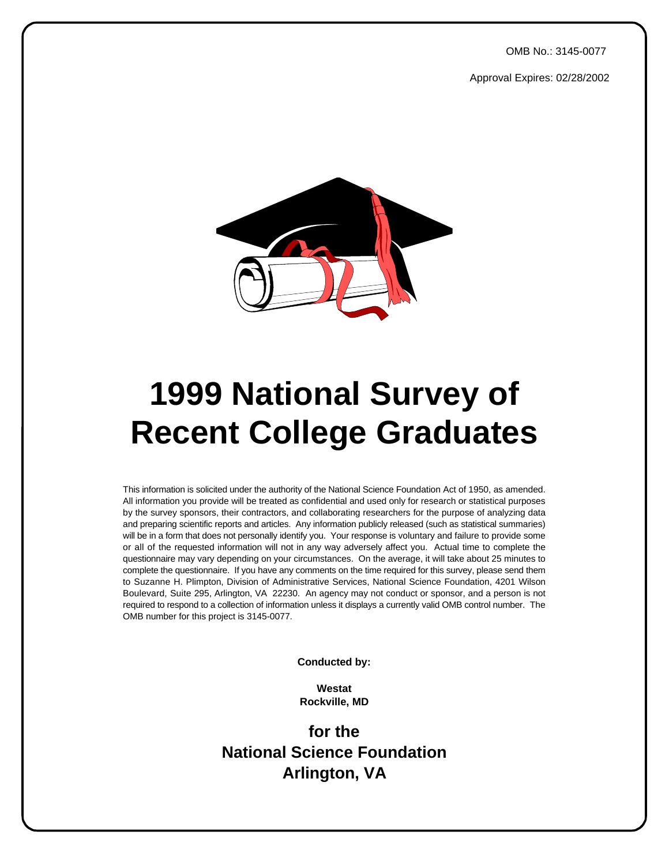OMB No.: 3145-0077

Approval Expires: 02/28/2002



# **1999 National Survey of Recent College Graduates**

This information is solicited under the authority of the National Science Foundation Act of 1950, as amended. All information you provide will be treated as confidential and used only for research or statistical purposes by the survey sponsors, their contractors, and collaborating researchers for the purpose of analyzing data and preparing scientific reports and articles. Any information publicly released (such as statistical summaries) will be in a form that does not personally identify you. Your response is voluntary and failure to provide some or all of the requested information will not in any way adversely affect you. Actual time to complete the questionnaire may vary depending on your circumstances. On the average, it will take about 25 minutes to complete the questionnaire. If you have any comments on the time required for this survey, please send them to Suzanne H. Plimpton, Division of Administrative Services, National Science Foundation, 4201 Wilson Boulevard, Suite 295, Arlington, VA 22230. An agency may not conduct or sponsor, and a person is not required to respond to a collection of information unless it displays a currently valid OMB control number. The OMB number for this project is 3145-0077.

**Conducted by:**

**Westat Rockville, MD**

**for the National Science Foundation Arlington, VA**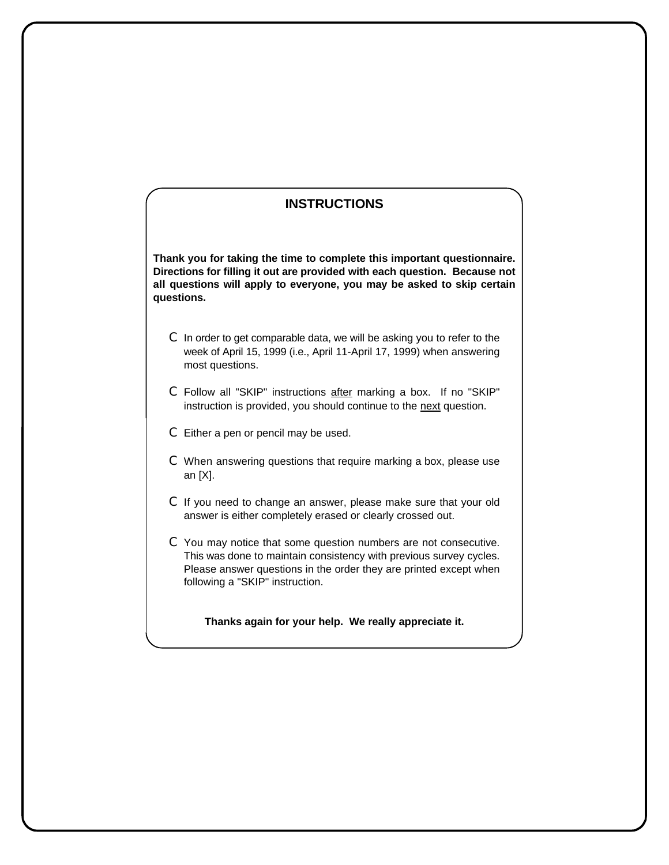### **INSTRUCTIONS**

**Thank you for taking the time to complete this important questionnaire. Directions for filling it out are provided with each question. Because not all questions will apply to everyone, you may be asked to skip certain questions.**

- C In order to get comparable data, we will be asking you to refer to the week of April 15, 1999 (i.e., April 11-April 17, 1999) when answering most questions.
- C Follow all "SKIP" instructions after marking a box. If no "SKIP" instruction is provided, you should continue to the next question.
- C Either a pen or pencil may be used.
- C When answering questions that require marking a box, please use an [X].
- C If you need to change an answer, please make sure that your old answer is either completely erased or clearly crossed out.
- C You may notice that some question numbers are not consecutive. This was done to maintain consistency with previous survey cycles. Please answer questions in the order they are printed except when following a "SKIP" instruction.

**Thanks again for your help. We really appreciate it.**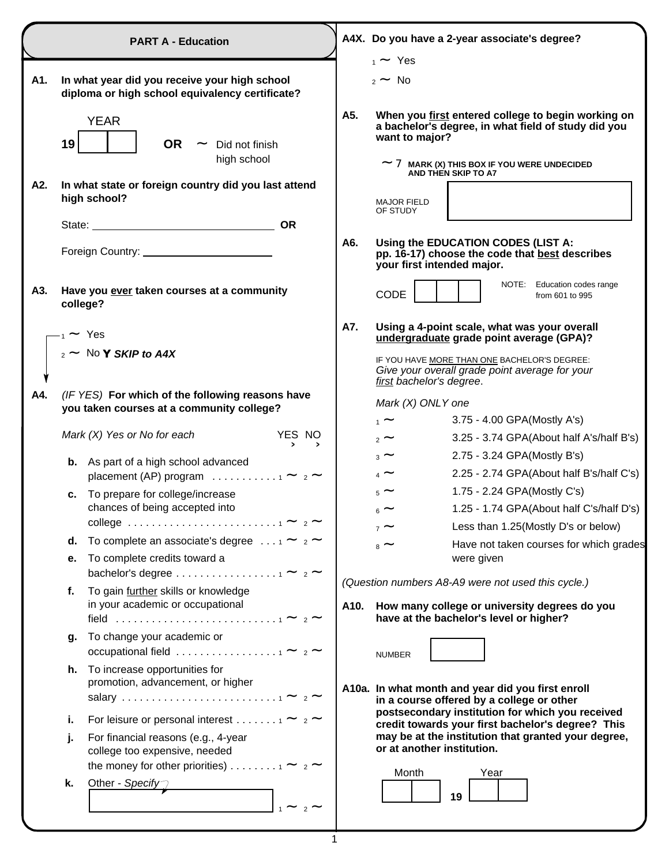|     | <b>PART A - Education</b>                                                                                                              | A4X. Do you have a 2-year associate's degree?                                                                                                                        |
|-----|----------------------------------------------------------------------------------------------------------------------------------------|----------------------------------------------------------------------------------------------------------------------------------------------------------------------|
| A1. | In what year did you receive your high school<br>diploma or high school equivalency certificate?<br><b>YEAR</b>                        | $_1$ $\sim$ Yes<br>$2 \sim$ No<br>A5.<br>When you first entered college to begin working on<br>a bachelor's degree, in what field of study did you<br>want to major? |
| A2. | 19<br><b>OR</b><br>Did not finish<br>$\sim$<br>high school<br>In what state or foreign country did you last attend                     | $\sim$ 7 MARK (X) THIS BOX IF YOU WERE UNDECIDED<br>AND THẾN SKIP TO A7                                                                                              |
|     | high school?                                                                                                                           | <b>MAJOR FIELD</b><br>OF STUDY                                                                                                                                       |
|     | <b>OR</b><br>Foreign Country: Network of Country:                                                                                      | A6.<br>Using the EDUCATION CODES (LIST A:<br>pp. 16-17) choose the code that best describes<br>your first intended major.                                            |
| A3. | Have you ever taken courses at a community<br>college?                                                                                 | NOTE: Education codes range<br>CODE<br>from 601 to 995                                                                                                               |
|     | $\sim$ Yes                                                                                                                             | A7.<br>Using a 4-point scale, what was your overall<br>undergraduate grade point average (GPA)?                                                                      |
|     | $_2$ $\sim$ No Y SKIP to A4X                                                                                                           | IF YOU HAVE MORE THAN ONE BACHELOR'S DEGREE:<br>Give your overall grade point average for your<br>first bachelor's degree.                                           |
| A4. | (IF YES) For which of the following reasons have<br>you taken courses at a community college?                                          | Mark (X) ONLY one                                                                                                                                                    |
|     | Mark (X) Yes or No for each<br>YES NO                                                                                                  | 3.75 - 4.00 GPA(Mostly A's)<br>$1 -$<br>3.25 - 3.74 GPA(About half A's/half B's)<br>$2^{\sim}$                                                                       |
|     | <b>O:</b><br>C:<br><b>b.</b> As part of a high school advanced                                                                         | 2.75 - 3.24 GPA(Mostly B's)<br>$_3$ ~                                                                                                                                |
|     | placement (AP) program $\ldots \ldots \ldots \ldots \cdots$ $\sim$ 2 ~                                                                 | 2.25 - 2.74 GPA(About half B's/half C's)                                                                                                                             |
|     | c. To prepare for college/increase                                                                                                     | 1.75 - 2.24 GPA(Mostly C's)                                                                                                                                          |
|     | chances of being accepted into                                                                                                         | 1.25 - 1.74 GPA(About half C's/half D's)                                                                                                                             |
|     | To complete an associate's degree $\ldots$ 1 $\sim$ 2 $\sim$<br>d.                                                                     | Less than 1.25(Mostly D's or below)                                                                                                                                  |
|     | To complete credits toward a<br>е.                                                                                                     | Have not taken courses for which grades<br>were given                                                                                                                |
|     |                                                                                                                                        |                                                                                                                                                                      |
|     | To gain further skills or knowledge<br>f.<br>in your academic or occupational                                                          | (Question numbers A8-A9 were not used this cycle.)<br>How many college or university degrees do you<br>A10.                                                          |
|     |                                                                                                                                        | have at the bachelor's level or higher?                                                                                                                              |
|     | To change your academic or<br>q.                                                                                                       | <b>NUMBER</b>                                                                                                                                                        |
|     | To increase opportunities for<br>h.<br>promotion, advancement, or higher                                                               | A10a. In what month and year did you first enroll                                                                                                                    |
|     |                                                                                                                                        | in a course offered by a college or other<br>postsecondary institution for which you received                                                                        |
|     | For leisure or personal interest $\gamma \sim 2$ ~<br>i.<br>For financial reasons (e.g., 4-year<br>j.<br>college too expensive, needed | credit towards your first bachelor's degree? This<br>may be at the institution that granted your degree,<br>or at another institution.                               |
|     | the money for other priorities) $\gamma \sim 2$ ~<br>k.<br>Other - Specify                                                             | Month<br>Year<br>19                                                                                                                                                  |
|     | 1                                                                                                                                      |                                                                                                                                                                      |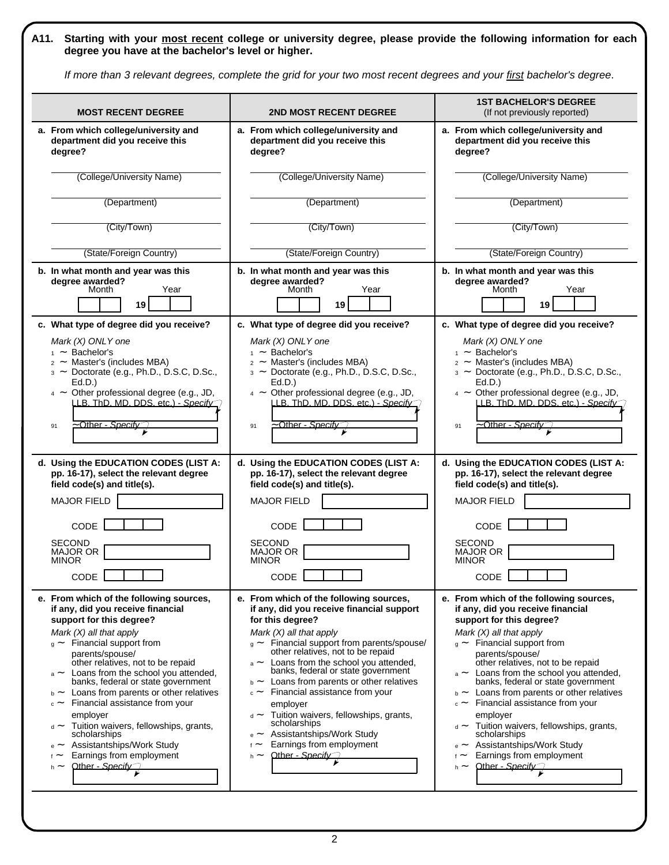### **A11. Starting with your most recent college or university degree, please provide the following information for each degree you have at the bachelor's level or higher.**

*If more than 3 relevant degrees, complete the grid for your two most recent degrees and your first bachelor's degree*.

| <b>MOST RECENT DEGREE</b>                                                                                                                                                                                                                                                                                                                                                                                                                                                                                                                                                                                                                             | <b>2ND MOST RECENT DEGREE</b>                                                                                                                                                                                                                                                                                                                                                                                                                                                                                                                                                                                   | <b>1ST BACHELOR'S DEGREE</b><br>(If not previously reported)                                                                                                                                                                                                                                                                                                                                                                                                                                                                                                                                                                            |
|-------------------------------------------------------------------------------------------------------------------------------------------------------------------------------------------------------------------------------------------------------------------------------------------------------------------------------------------------------------------------------------------------------------------------------------------------------------------------------------------------------------------------------------------------------------------------------------------------------------------------------------------------------|-----------------------------------------------------------------------------------------------------------------------------------------------------------------------------------------------------------------------------------------------------------------------------------------------------------------------------------------------------------------------------------------------------------------------------------------------------------------------------------------------------------------------------------------------------------------------------------------------------------------|-----------------------------------------------------------------------------------------------------------------------------------------------------------------------------------------------------------------------------------------------------------------------------------------------------------------------------------------------------------------------------------------------------------------------------------------------------------------------------------------------------------------------------------------------------------------------------------------------------------------------------------------|
| a. From which college/university and<br>department did you receive this<br>degree?                                                                                                                                                                                                                                                                                                                                                                                                                                                                                                                                                                    | a. From which college/university and<br>department did you receive this<br>degree?                                                                                                                                                                                                                                                                                                                                                                                                                                                                                                                              |                                                                                                                                                                                                                                                                                                                                                                                                                                                                                                                                                                                                                                         |
| (College/University Name)                                                                                                                                                                                                                                                                                                                                                                                                                                                                                                                                                                                                                             | (College/University Name)                                                                                                                                                                                                                                                                                                                                                                                                                                                                                                                                                                                       | (College/University Name)                                                                                                                                                                                                                                                                                                                                                                                                                                                                                                                                                                                                               |
| (Department)                                                                                                                                                                                                                                                                                                                                                                                                                                                                                                                                                                                                                                          | (Department)                                                                                                                                                                                                                                                                                                                                                                                                                                                                                                                                                                                                    | (Department)                                                                                                                                                                                                                                                                                                                                                                                                                                                                                                                                                                                                                            |
| (City/Town)                                                                                                                                                                                                                                                                                                                                                                                                                                                                                                                                                                                                                                           | (City/Town)                                                                                                                                                                                                                                                                                                                                                                                                                                                                                                                                                                                                     | (City/Town)                                                                                                                                                                                                                                                                                                                                                                                                                                                                                                                                                                                                                             |
| (State/Foreign Country)                                                                                                                                                                                                                                                                                                                                                                                                                                                                                                                                                                                                                               | (State/Foreign Country)                                                                                                                                                                                                                                                                                                                                                                                                                                                                                                                                                                                         | (State/Foreign Country)                                                                                                                                                                                                                                                                                                                                                                                                                                                                                                                                                                                                                 |
| b. In what month and year was this<br>degree awarded?<br>Month<br>Year<br>19 <sup>1</sup>                                                                                                                                                                                                                                                                                                                                                                                                                                                                                                                                                             | b. In what month and year was this<br>degree awarded?<br>Month<br>Year<br>19                                                                                                                                                                                                                                                                                                                                                                                                                                                                                                                                    | b. In what month and year was this<br>degree awarded?<br>Month<br>Year<br>19                                                                                                                                                                                                                                                                                                                                                                                                                                                                                                                                                            |
| c. What type of degree did you receive?                                                                                                                                                                                                                                                                                                                                                                                                                                                                                                                                                                                                               | c. What type of degree did you receive?                                                                                                                                                                                                                                                                                                                                                                                                                                                                                                                                                                         | c. What type of degree did you receive?                                                                                                                                                                                                                                                                                                                                                                                                                                                                                                                                                                                                 |
| Mark (X) ONLY one<br>$1 \sim$ Bachelor's<br>$2 \sim$ Master's (includes MBA)<br>$3 \sim$ Doctorate (e.g., Ph.D., D.S.C, D.Sc.,<br>Ed.D.<br>Other professional degree (e.g., JD,<br>LLB. ThD. MD. DDS. etc.) - Specify<br>Other - Specify<br>91                                                                                                                                                                                                                                                                                                                                                                                                        | Mark (X) ONLY one<br>$1 \sim$ Bachelor's<br>$2 \sim$ Master's (includes MBA)<br>$3 \sim$ Doctorate (e.g., Ph.D., D.S.C, D.Sc.,<br>Ed.D.)<br>$4 \sim$ Other professional degree (e.g., JD,<br>LLB. ThD. MD. DDS. etc.) - Specify<br>Other - Specify<br>91                                                                                                                                                                                                                                                                                                                                                        | Mark (X) ONLY one<br>$1 -$ Bachelor's<br>$2 \sim$ Master's (includes MBA)<br>$3 \sim$ Doctorate (e.g., Ph.D., D.S.C, D.Sc.,<br>Ed.D.)<br>$4 \sim$ Other professional degree (e.g., JD,<br>LLB. ThD. MD. DDS. etc.) - Specify<br>~Other - <i>Specify</i><br>91                                                                                                                                                                                                                                                                                                                                                                           |
| d. Using the EDUCATION CODES (LIST A:<br>pp. 16-17), select the relevant degree<br>field code(s) and title(s).                                                                                                                                                                                                                                                                                                                                                                                                                                                                                                                                        | d. Using the EDUCATION CODES (LIST A:<br>pp. 16-17), select the relevant degree<br>field code(s) and title(s).                                                                                                                                                                                                                                                                                                                                                                                                                                                                                                  | d. Using the EDUCATION CODES (LIST A:<br>pp. 16-17), select the relevant degree<br>field code(s) and title(s).                                                                                                                                                                                                                                                                                                                                                                                                                                                                                                                          |
| <b>MAJOR FIELD</b>                                                                                                                                                                                                                                                                                                                                                                                                                                                                                                                                                                                                                                    | <b>MAJOR FIELD</b>                                                                                                                                                                                                                                                                                                                                                                                                                                                                                                                                                                                              | <b>MAJOR FIELD</b>                                                                                                                                                                                                                                                                                                                                                                                                                                                                                                                                                                                                                      |
| CODE                                                                                                                                                                                                                                                                                                                                                                                                                                                                                                                                                                                                                                                  | CODE                                                                                                                                                                                                                                                                                                                                                                                                                                                                                                                                                                                                            | CODE                                                                                                                                                                                                                                                                                                                                                                                                                                                                                                                                                                                                                                    |
| <b>SECOND</b><br><b>MAJOR OR</b><br><b>MINOR</b>                                                                                                                                                                                                                                                                                                                                                                                                                                                                                                                                                                                                      | <b>SECOND</b><br><b>MAJOR OR</b><br><b>MINOR</b>                                                                                                                                                                                                                                                                                                                                                                                                                                                                                                                                                                | <b>SECOND</b><br><b>MAJOR OR</b><br><b>MINOR</b>                                                                                                                                                                                                                                                                                                                                                                                                                                                                                                                                                                                        |
| <b>CODE</b>                                                                                                                                                                                                                                                                                                                                                                                                                                                                                                                                                                                                                                           | CODE                                                                                                                                                                                                                                                                                                                                                                                                                                                                                                                                                                                                            | CODE                                                                                                                                                                                                                                                                                                                                                                                                                                                                                                                                                                                                                                    |
| e. From which of the following sources,<br>if any, did you receive financial<br>support for this degree?<br>Mark $(X)$ all that apply<br>$g \sim$ Financial support from<br>parents/spouse/<br>other relatives, not to be repaid<br>Loans from the school you attended,<br>banks, federal or state government<br>$a \sim$<br>Loans from parents or other relatives<br>$_{\rm b}$ $\sim$<br>Financial assistance from your<br>$_{\rm c}$ $\sim$<br>employer<br>Tuition waivers, fellowships, grants,<br>$d \sim$<br>scholarships<br>Assistantships/Work Study<br>$_{\rm e}$ $\sim$<br>Earnings from employment<br>Other - <i>Snecifv</i> ⊂<br>$h \sim$ | e. From which of the following sources,<br>if any, did you receive financial support<br>for this degree?<br>Mark $(X)$ all that apply<br>$g \sim$ Financial support from parents/spouse/<br>other relatives, not to be repaid<br>Loans from the school you attended,<br>banks, federal or state government<br>$a \sim$<br>Loans from parents or other relatives<br>$_{\rm b}$ $\sim$<br>Financial assistance from your<br>$\sim$<br>employer<br>Tuition waivers, fellowships, grants,<br>$d \sim$<br>scholarships<br>Assistantships/Work Study<br>e<br>Earnings from employment<br>Other - <i>Snecifv∩</i><br>h | e. From which of the following sources,<br>if any, did you receive financial<br>support for this degree?<br>Mark $(X)$ all that apply<br>$g \sim$ Financial support from<br>parents/spouse/<br>other relatives, not to be repaid<br>Loans from the school you attended,<br>banks, federal or state government<br>$a \sim$<br>Loans from parents or other relatives<br>$_{\rm b}$ $\sim$<br>Financial assistance from your<br>$_{\rm c}$ $\sim$<br>employer<br>Tuition waivers, fellowships, grants,<br>$d \sim$<br>scholarships<br>Assistantships/Work Study<br>$_{\rm e}$ $\sim$<br>Earnings from employment<br>Other - Specify ◯<br>h |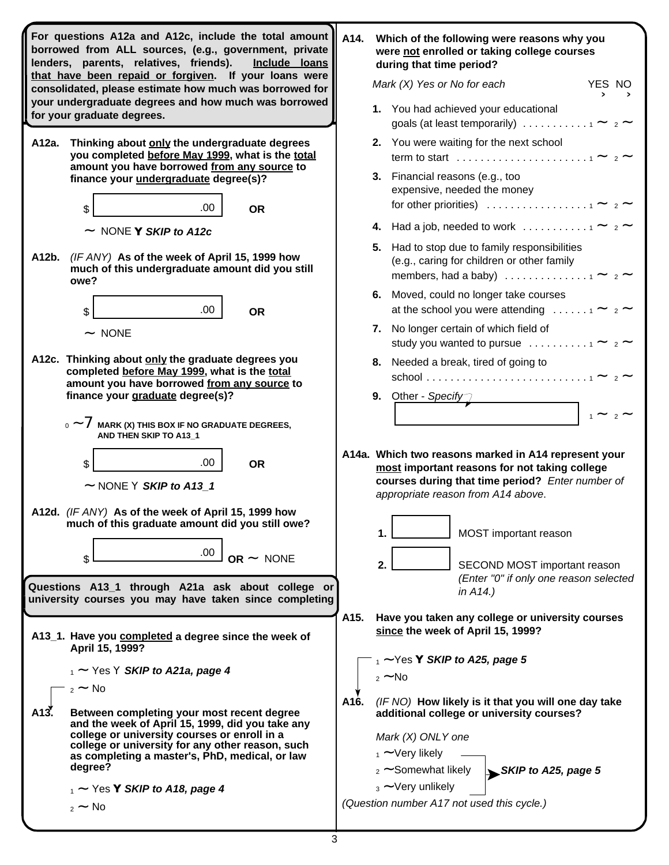

3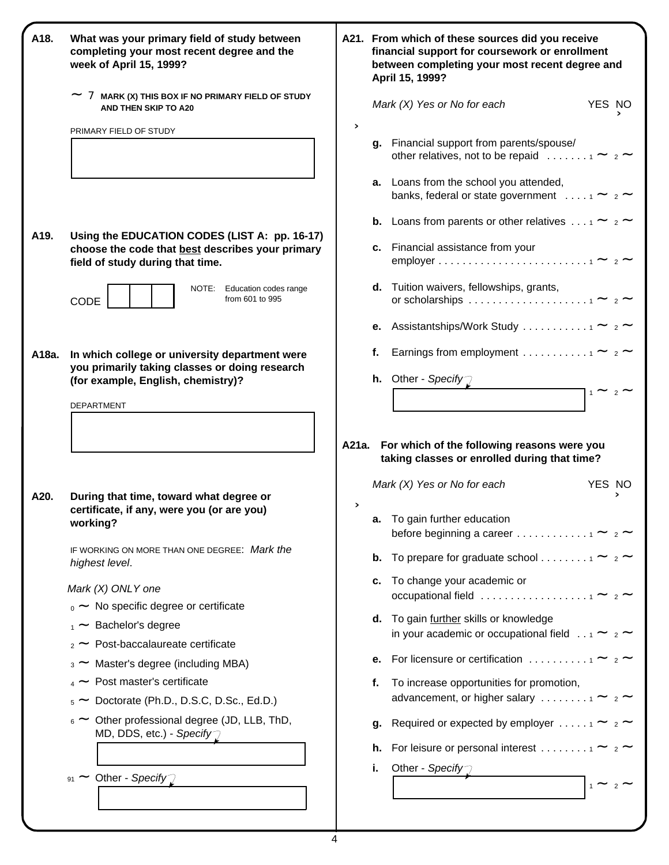| A18.              | What was your primary field of study between<br>completing your most recent degree and the<br>week of April 15, 1999? |              |    | A21. From which of these sources did you receive<br>financial support for coursework or enrollment<br>between completing your most recent degree and<br>April 15, 1999? |                |
|-------------------|-----------------------------------------------------------------------------------------------------------------------|--------------|----|-------------------------------------------------------------------------------------------------------------------------------------------------------------------------|----------------|
|                   | $\sim$ 7 MARK (X) THIS BOX IF NO PRIMARY FIELD OF STUDY<br><b>AND THEN SKIP TO A20</b>                                |              |    | Mark (X) Yes or No for each                                                                                                                                             | YES NO<br>( ): |
|                   | PRIMARY FIELD OF STUDY                                                                                                | $\mathbf{O}$ |    | g. Financial support from parents/spouse/<br>other relatives, not to be repaid $\ldots$ $\ldots$ $\ldots$ $\sim$ 2 $\sim$                                               |                |
|                   |                                                                                                                       |              |    | a. Loans from the school you attended,<br>banks, federal or state government $\ldots$ $\cdots$ $\sim$ $\sim$ $\sim$                                                     |                |
|                   |                                                                                                                       |              |    | <b>b.</b> Loans from parents or other relatives $\ldots$ 1 ~ 2 ~                                                                                                        |                |
| A <sub>19</sub> . | Using the EDUCATION CODES (LIST A: pp. 16-17)<br>choose the code that best describes your primary                     |              |    | c. Financial assistance from your                                                                                                                                       |                |
|                   | field of study during that time.                                                                                      |              |    |                                                                                                                                                                         |                |
|                   | NOTE: Education codes range<br>from 601 to 995<br>CODE                                                                |              |    | d. Tuition waivers, fellowships, grants,                                                                                                                                |                |
|                   |                                                                                                                       |              |    |                                                                                                                                                                         |                |
| A18a.             | In which college or university department were                                                                        |              |    | Earnings from employment $\ldots \ldots \ldots \ldots \cdots$                                                                                                           |                |
|                   | you primarily taking classes or doing research<br>(for example, English, chemistry)?                                  |              |    | <b>h.</b> Other - Specify                                                                                                                                               |                |
|                   |                                                                                                                       |              |    |                                                                                                                                                                         |                |
|                   | <b>DEPARTMENT</b>                                                                                                     |              |    | A21a. For which of the following reasons were you                                                                                                                       |                |
| A20.              | During that time, toward what degree or                                                                               |              |    | taking classes or enrolled during that time?<br>Mark (X) Yes or No for each                                                                                             | YES NO         |
|                   | certificate, if any, were you (or are you)<br>working?                                                                | O:           | а. | To gain further education                                                                                                                                               |                |
|                   | IF WORKING ON MORE THAN ONE DEGREE: Mark the<br>highest level.                                                        |              |    | <b>b.</b> To prepare for graduate school $1 \sim 2 \sim$                                                                                                                |                |
|                   | Mark (X) ONLY one                                                                                                     |              |    | c. To change your academic or                                                                                                                                           |                |
|                   | $_0$ ~ No specific degree or certificate                                                                              |              |    |                                                                                                                                                                         |                |
|                   | $_1$ ~ Bachelor's degree                                                                                              |              |    | d. To gain further skills or knowledge                                                                                                                                  |                |
|                   | $_2$ ~ Post-baccalaureate certificate                                                                                 |              |    | in your academic or occupational field $\ldots$ 1 $\sim$ 2 $\sim$                                                                                                       |                |
|                   | Master's degree (including MBA)<br>$_3$ $\sim$                                                                        |              | е. | For licensure or certification $\ldots \ldots \ldots$                                                                                                                   |                |
|                   | Post master's certificate                                                                                             |              | t. | To increase opportunities for promotion,                                                                                                                                |                |
|                   | Doctorate (Ph.D., D.S.C, D.Sc., Ed.D.)                                                                                |              |    | advancement, or higher salary $\ldots \ldots \ldots \cdots$ $\sim$ 2 $\sim$                                                                                             |                |
|                   | Other professional degree (JD, LLB, ThD,<br>MD, DDS, etc.) - Specify                                                  |              | g. | Required or expected by employer $1 \sim 2 \sim$                                                                                                                        |                |
|                   |                                                                                                                       |              | h. | For leisure or personal interest $\gamma \sim 2$ ~                                                                                                                      |                |
|                   | $_{91}$ ~ Other - Specify                                                                                             |              | i. | Other - Specify                                                                                                                                                         |                |

4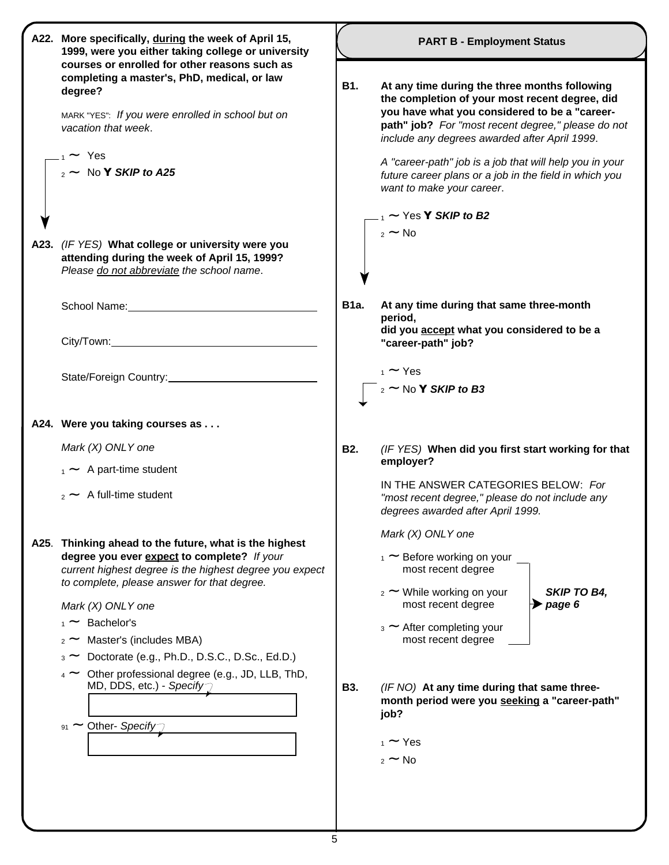| A22. More specifically, during the week of April 15,<br>1999, were you either taking college or university                                                                                                                                                                                              |             | <b>PART B - Employment Status</b>                                                                                                                                                                                                                                                                                                                                                                         |
|---------------------------------------------------------------------------------------------------------------------------------------------------------------------------------------------------------------------------------------------------------------------------------------------------------|-------------|-----------------------------------------------------------------------------------------------------------------------------------------------------------------------------------------------------------------------------------------------------------------------------------------------------------------------------------------------------------------------------------------------------------|
| courses or enrolled for other reasons such as<br>completing a master's, PhD, medical, or law<br>degree?<br>MARK "YES": If you were enrolled in school but on<br>vacation that week.<br>$\lambda_1$ $\sim$ Yes<br>$_2$ $\sim$ No Y SKIP to A25                                                           | <b>B1.</b>  | At any time during the three months following<br>the completion of your most recent degree, did<br>you have what you considered to be a "career-<br>path" job? For "most recent degree," please do not<br>include any degrees awarded after April 1999.<br>A "career-path" job is a job that will help you in your<br>future career plans or a job in the field in which you<br>want to make your career. |
| A23. (IF YES) What college or university were you<br>attending during the week of April 15, 1999?<br>Please do not abbreviate the school name.                                                                                                                                                          |             | $_1$ ~ Yes Y SKIP to B2<br>$2 - No$                                                                                                                                                                                                                                                                                                                                                                       |
| School Name: Manual Manual Manual Manual Manual Manual Manual Manual Manual Manual Manual Manual Manual Manual<br>City/Town: City/Town:<br>State/Foreign Country:<br>State/Foreign Country:                                                                                                             | <b>B1a.</b> | At any time during that same three-month<br>period,<br>did you accept what you considered to be a<br>"career-path" job?<br>$1 - Y$ es<br>$_2$ ~ No Y SKIP to B3                                                                                                                                                                                                                                           |
| A24. Were you taking courses as<br>Mark (X) ONLY one                                                                                                                                                                                                                                                    | <b>B2.</b>  | (IF YES) When did you first start working for that<br>employer?                                                                                                                                                                                                                                                                                                                                           |
| $_1$ ~ A part-time student<br>A full-time student<br>A25. Thinking ahead to the future, what is the highest<br>degree you ever expect to complete? If your<br>current highest degree is the highest degree you expect<br>to complete, please answer for that degree.<br>Mark (X) ONLY one<br>Bachelor's |             | IN THE ANSWER CATEGORIES BELOW: For<br>"most recent degree," please do not include any<br>degrees awarded after April 1999.<br>Mark (X) ONLY one<br>$1 \sim$ Before working on your<br>most recent degree<br>$2 \sim$ While working on your<br><b>SKIP TO B4,</b><br>most recent degree<br>$\blacktriangleright$ page 6<br>$3 \sim$ After completing your                                                 |
| Master's (includes MBA)<br>Doctorate (e.g., Ph.D., D.S.C., D.Sc., Ed.D.)<br>Other professional degree (e.g., JD, LLB, ThD,<br>MD, DDS, etc.) - Specify<br>$91$ ~ Other- Specify                                                                                                                         | <b>B3.</b>  | most recent degree<br>(IF NO) At any time during that same three-<br>month period were you seeking a "career-path"<br>job?<br>$1 - Y$ es<br>$2 \sim No$                                                                                                                                                                                                                                                   |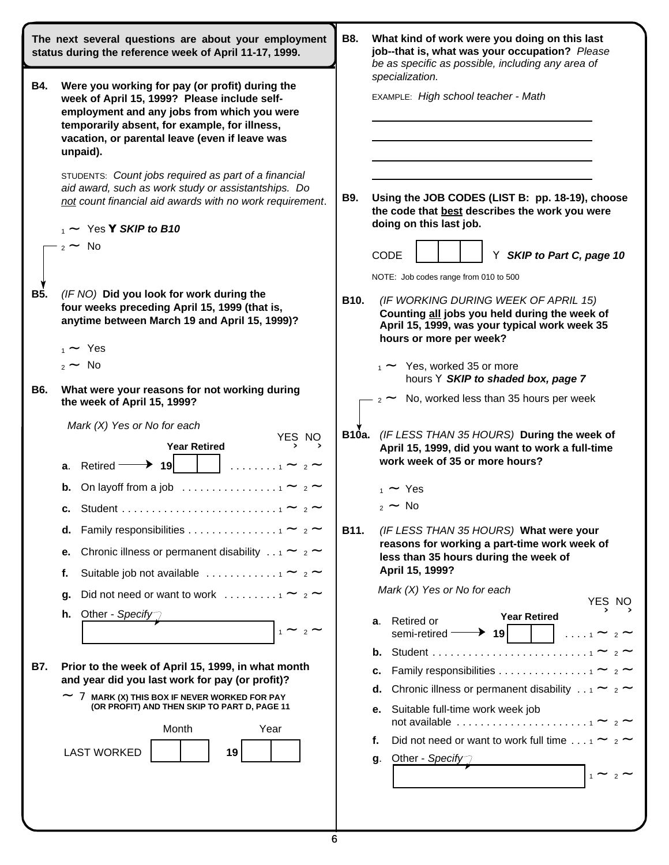|            | The next several questions are about your employment<br>status during the reference week of April 11-17, 1999.                                                                                                                                                                                                                                                                                                                                                  | <b>B8.</b><br>What kind of work were you doing on this last<br>job--that is, what was your occupation? Please<br>be as specific as possible, including any area of                                                                                                                                                                                                                                                                                                                                                                                                                     |
|------------|-----------------------------------------------------------------------------------------------------------------------------------------------------------------------------------------------------------------------------------------------------------------------------------------------------------------------------------------------------------------------------------------------------------------------------------------------------------------|----------------------------------------------------------------------------------------------------------------------------------------------------------------------------------------------------------------------------------------------------------------------------------------------------------------------------------------------------------------------------------------------------------------------------------------------------------------------------------------------------------------------------------------------------------------------------------------|
| B4.        | Were you working for pay (or profit) during the<br>week of April 15, 1999? Please include self-<br>employment and any jobs from which you were<br>temporarily absent, for example, for illness,<br>vacation, or parental leave (even if leave was<br>unpaid).                                                                                                                                                                                                   | specialization.<br>EXAMPLE: High school teacher - Math                                                                                                                                                                                                                                                                                                                                                                                                                                                                                                                                 |
|            | STUDENTS: Count jobs required as part of a financial<br>aid award, such as work study or assistantships. Do<br>not count financial aid awards with no work requirement.<br>Yes Y SKIP to B10<br>No.                                                                                                                                                                                                                                                             | Using the JOB CODES (LIST B: pp. 18-19), choose<br>B9.<br>the code that best describes the work you were<br>doing on this last job.<br>Y SKIP to Part C, page 10<br><b>CODE</b>                                                                                                                                                                                                                                                                                                                                                                                                        |
| <b>B5.</b> | (IF NO) Did you look for work during the<br>four weeks preceding April 15, 1999 (that is,<br>anytime between March 19 and April 15, 1999)?<br>$\sim$ Yes<br>$2 \sim$ No                                                                                                                                                                                                                                                                                         | NOTE: Job codes range from 010 to 500<br><b>B10.</b><br>(IF WORKING DURING WEEK OF APRIL 15)<br>Counting all jobs you held during the week of<br>April 15, 1999, was your typical work week 35<br>hours or more per week?<br>$_1$ ~ Yes, worked 35 or more                                                                                                                                                                                                                                                                                                                             |
| <b>B6.</b> | What were your reasons for not working during<br>the week of April 15, 1999?                                                                                                                                                                                                                                                                                                                                                                                    | hours Y SKIP to shaded box, page 7<br>No, worked less than 35 hours per week                                                                                                                                                                                                                                                                                                                                                                                                                                                                                                           |
|            | Mark (X) Yes or No for each<br>YES NO<br><b>Year Retired</b><br>C:<br>C:<br>a. Retired -<br>19<br>b.                                                                                                                                                                                                                                                                                                                                                            | B10a. (IF LESS THAN 35 HOURS) During the week of<br>April 15, 1999, did you want to work a full-time<br>work week of 35 or more hours?<br>Yes<br>$_2$ ~ No                                                                                                                                                                                                                                                                                                                                                                                                                             |
| <b>B7.</b> | d.<br>Chronic illness or permanent disability $\ldots$ $\sim$ $\sim$ $\sim$ $\sim$<br>е.<br>Suitable job not available $\ldots \ldots \ldots \ldots \cdots$<br>f.<br>g.<br>h.<br>Other - Specify<br>Prior to the week of April 15, 1999, in what month<br>and year did you last work for pay (or profit)?<br>MARK (X) THIS BOX IF NEVER WORKED FOR PAY<br>$\sim$ 7<br>(OR PROFIT) AND THEN SKIP TO PART D, PAGE 11<br>Month<br>Year<br><b>LAST WORKED</b><br>19 | B11.<br>(IF LESS THAN 35 HOURS) What were your<br>reasons for working a part-time work week of<br>less than 35 hours during the week of<br>April 15, 1999?<br>Mark (X) Yes or No for each<br>YES NO<br>$\Omega$ :<br>( ):<br><b>Year Retired</b><br>Retired or<br>а.<br>→ 191<br>semi-retired -<br>b.<br>с.<br>Chronic illness or permanent disability $\ldots$ $\sim$<br>d.<br>Suitable full-time work week job<br>е.<br>not available $\ldots \ldots \ldots \ldots \ldots \ldots \ldots \ldots$<br>Did not need or want to work full time $\dots$ 1 ~<br>f.<br>Other - Specify<br>g. |
|            |                                                                                                                                                                                                                                                                                                                                                                                                                                                                 |                                                                                                                                                                                                                                                                                                                                                                                                                                                                                                                                                                                        |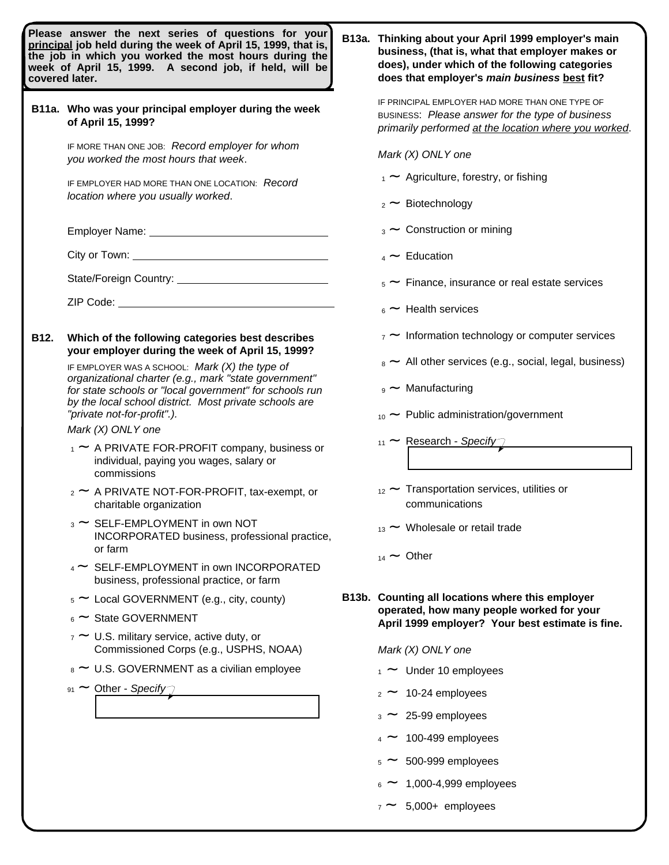**Please answer the next series of questions for your principal job held during the week of April 15, 1999, that is, the job in which you worked the most hours during the week of April 15, 1999. A second job, if held, will be covered later. B11a. Who was your principal employer during the week of April 15, 1999?** IF MORE THAN ONE JOB: *Record employer for whom you worked the most hours that week*. IF EMPLOYER HAD MORE THAN ONE LOCATION: *Record location where you usually worked*. Employer Name: City or Town: State/Foreign Country: ZIP Code: **B12. Which of the following categories best describes your employer during the week of April 15, 1999?**  IF EMPLOYER WAS A SCHOOL: *Mark (X) the type of organizational charter (e.g., mark "state government" for state schools or "local government" for schools run by the local school district. Most private schools are "private not-for-profit".). Mark (X) ONLY one*  $_1$   $\sim$  A PRIVATE FOR-PROFIT company, business or individual, paying you wages, salary or commissions  $2 \sim A$  PRIVATE NOT-FOR-PROFIT, tax-exempt, or charitable organization <sup>3</sup> ~ SELF-EMPLOYMENT in own NOT INCORPORATED business, professional practice, or farm  $4 \sim$  SELF-EMPLOYMENT in own INCORPORATED business, professional practice, or farm  $5 \sim$  Local GOVERNMENT (e.g., city, county) <sup>6</sup> ~ State GOVERNMENT  $7 \sim U.S.$  military service, active duty, or Commissioned Corps (e.g., USPHS, NOAA)  $8 \sim$  U.S. GOVERNMENT as a civilian employee <sup>91</sup> ~ Other - *Specify*

### **B13a. Thinking about your April 1999 employer's main business, (that is, what that employer makes or does), under which of the following categories does that employer's** *main business* **best fit?**

IF PRINCIPAL EMPLOYER HAD MORE THAN ONE TYPE OF BUSINESS: *Please answer for the type of business primarily performed at the location where you worked*.

*Mark (X) ONLY one*

- $_1$  ~ Agriculture, forestry, or fishing
- $_2$  ~ Biotechnology
- $_3$  ~ Construction or mining
- $_4$  ~ Education
- $5 \sim$  Finance, insurance or real estate services
- $6 \sim$  Health services
- $7 \sim$  Information technology or computer services
- $_8 \sim$  All other services (e.g., social, legal, business)
- $9 \sim$  Manufacturing
- $_{10}$  ~ Public administration/government
- 11 ~ Research Specify
- $_{12}$  ~ Transportation services, utilities or communications
- $_{13}$  ~ Wholesale or retail trade
- $_{14}$  ~ Other
- **B13b. Counting all locations where this employer operated, how many people worked for your April 1999 employer? Your best estimate is fine.**

*Mark (X) ONLY one*

- $1 \sim$  Under 10 employees
- $2 \sim 10-24$  employees
- $3 \sim 25 99$  employees
- $4 \sim 100-499$  employees
- $5 \sim 500 999$  employees
- $6 1,000 4,999$  employees
- $7 \sim 5,000+$  employees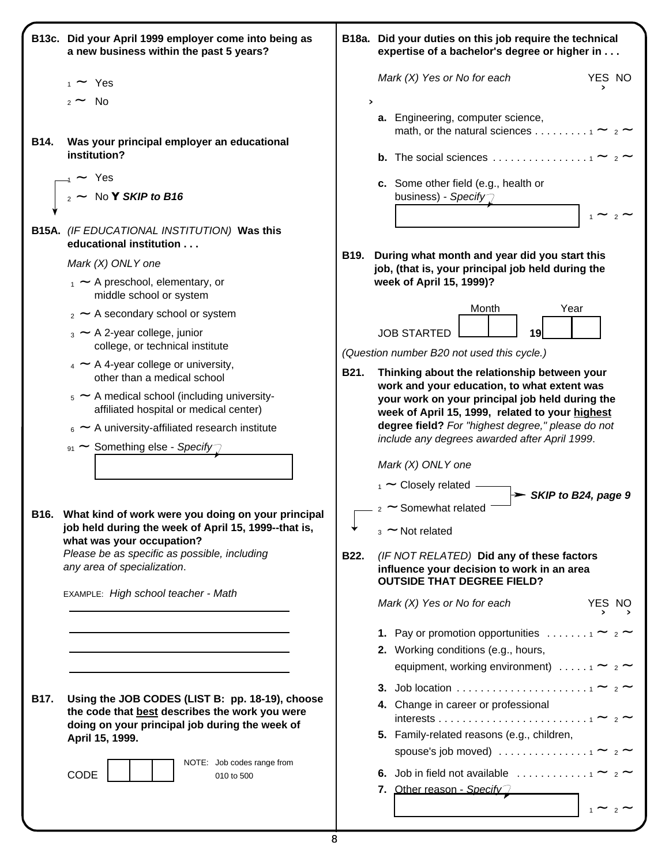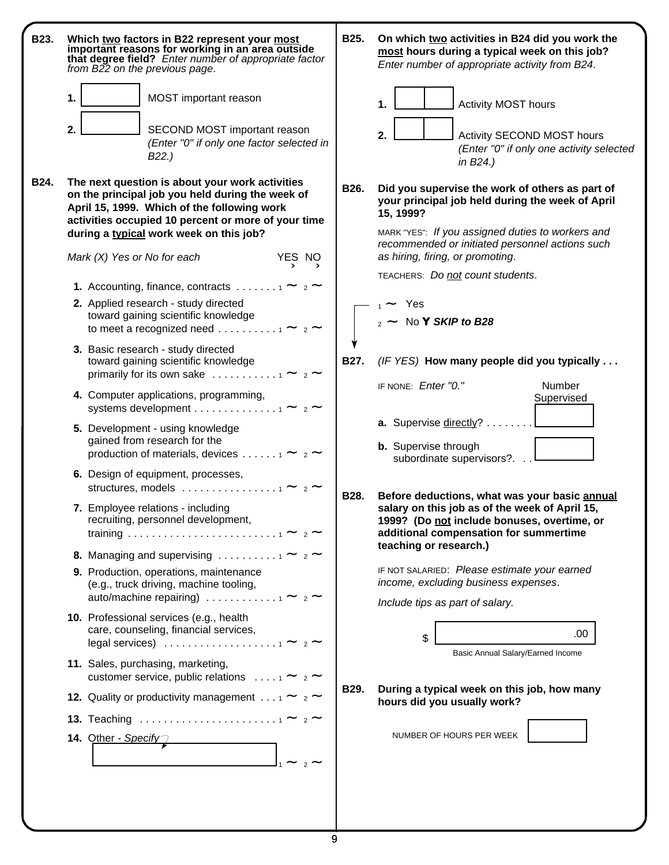| <b>B23.</b> |    | Which two factors in B22 represent your most<br>important reasons for working in an area outside<br>that degree field? Enter number of appropriate factor<br>from B22 on the previous page.                                                          | <b>B25.</b> | On which two activities in B24 did you work the<br>most hours during a typical week on this job?<br>Enter number of appropriate activity from B24.                    |
|-------------|----|------------------------------------------------------------------------------------------------------------------------------------------------------------------------------------------------------------------------------------------------------|-------------|-----------------------------------------------------------------------------------------------------------------------------------------------------------------------|
|             | 1. | MOST important reason                                                                                                                                                                                                                                |             | <b>Activity MOST hours</b><br>1.                                                                                                                                      |
|             | 2. | SECOND MOST important reason<br>(Enter "0" if only one factor selected in<br>B <sub>22</sub> .)                                                                                                                                                      |             | 2.<br>Activity SECOND MOST hours<br>(Enter "0" if only one activity selected<br>in $B24.$ )                                                                           |
| <b>B24.</b> |    | The next question is about your work activities<br>on the principal job you held during the week of<br>April 15, 1999. Which of the following work<br>activities occupied 10 percent or more of your time<br>during a typical work week on this job? | B26.        | Did you supervise the work of others as part of<br>your principal job held during the week of April<br>15, 1999?<br>MARK "YES": If you assigned duties to workers and |
|             |    | YES NO<br>Mark $(X)$ Yes or No for each<br>$\mathbf{C}$<br>C:                                                                                                                                                                                        |             | recommended or initiated personnel actions such<br>as hiring, firing, or promoting.<br>TEACHERS: Do not count students.                                               |
|             |    | <b>1.</b> Accounting, finance, contracts $\ldots \ldots \ldots$                                                                                                                                                                                      |             |                                                                                                                                                                       |
|             |    | 2. Applied research - study directed                                                                                                                                                                                                                 |             | $1 - Y$ es                                                                                                                                                            |
|             |    | toward gaining scientific knowledge                                                                                                                                                                                                                  |             | $_2$ ~ No Y SKIP to B28                                                                                                                                               |
|             |    | 3. Basic research - study directed<br>toward gaining scientific knowledge<br>primarily for its own sake $\ldots \ldots \ldots \ldots \cdots$                                                                                                         | B27.        | (IF YES) How many people did you typically                                                                                                                            |
|             |    | 4. Computer applications, programming,                                                                                                                                                                                                               |             | IF NONE: Enter "0."<br>Number<br>Supervised                                                                                                                           |
|             |    | 5. Development - using knowledge<br>gained from research for the                                                                                                                                                                                     |             | a. Supervise directly?<br><b>b.</b> Supervise through                                                                                                                 |
|             |    | production of materials, devices $1 \sim 2 \sim$                                                                                                                                                                                                     |             | subordinate supervisors?. .                                                                                                                                           |
|             |    | 6. Design of equipment, processes,                                                                                                                                                                                                                   |             |                                                                                                                                                                       |
|             |    | structures, models $\ldots \ldots \ldots \ldots \ldots \ldots \cdots$                                                                                                                                                                                | B28.        | Before deductions, what was your basic annual                                                                                                                         |
|             |    | 7. Employee relations - including<br>recruiting, personnel development,                                                                                                                                                                              |             | salary on this job as of the week of April 15,<br>1999? (Do not include bonuses, overtime, or<br>additional compensation for summertime<br>teaching or research.)     |
|             |    | <b>8.</b> Managing and supervising $\ldots \ldots \ldots \ldots \cdots$                                                                                                                                                                              |             |                                                                                                                                                                       |
|             |    | 9. Production, operations, maintenance<br>(e.g., truck driving, machine tooling,<br>auto/machine repairing) $\ldots \ldots \ldots \ldots \ldots$                                                                                                     |             | IF NOT SALARIED: Please estimate your earned<br>income, excluding business expenses.                                                                                  |
|             |    |                                                                                                                                                                                                                                                      |             | Include tips as part of salary.                                                                                                                                       |
|             |    | 10. Professional services (e.g., health<br>care, counseling, financial services,<br>legal services) $\ldots \ldots \ldots \ldots \ldots \ldots \ldots \ldots$                                                                                        |             | .00.<br>\$                                                                                                                                                            |
|             |    | 11. Sales, purchasing, marketing,<br>customer service, public relations $\ldots$ $\cdots$ $\sim$ $\sim$ $\sim$                                                                                                                                       |             | Basic Annual Salary/Earned Income                                                                                                                                     |
|             |    | <b>12.</b> Quality or productivity management $\ldots$ 1 ~ 2 ~                                                                                                                                                                                       | <b>B29.</b> | During a typical week on this job, how many<br>hours did you usually work?                                                                                            |
|             |    |                                                                                                                                                                                                                                                      |             |                                                                                                                                                                       |
|             |    | 14. Other - Specify                                                                                                                                                                                                                                  |             | NUMBER OF HOURS PER WEEK                                                                                                                                              |
|             |    |                                                                                                                                                                                                                                                      |             |                                                                                                                                                                       |
|             |    |                                                                                                                                                                                                                                                      |             |                                                                                                                                                                       |
|             |    |                                                                                                                                                                                                                                                      |             |                                                                                                                                                                       |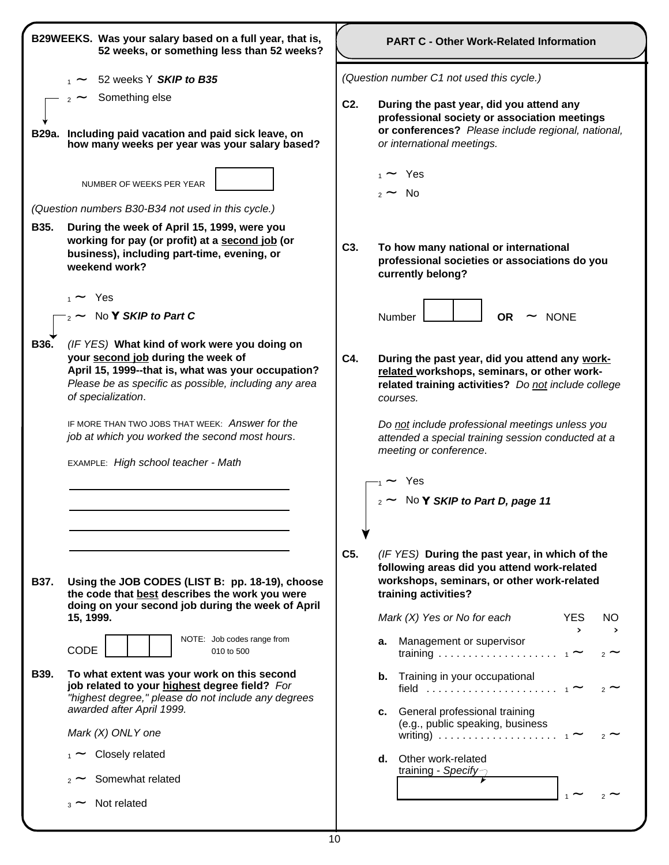|             | B29WEEKS. Was your salary based on a full year, that is,<br>52 weeks, or something less than 52 weeks?                                                                                                                  |                  | <b>PART C - Other Work-Related Information</b>                                                                                                                      |
|-------------|-------------------------------------------------------------------------------------------------------------------------------------------------------------------------------------------------------------------------|------------------|---------------------------------------------------------------------------------------------------------------------------------------------------------------------|
|             | 52 weeks Y SKIP to B35                                                                                                                                                                                                  |                  | (Question number C1 not used this cycle.)                                                                                                                           |
|             | Something else<br>$\overline{2}$                                                                                                                                                                                        | C <sub>2</sub> . | During the past year, did you attend any<br>professional society or association meetings                                                                            |
| B29a.       | Including paid vacation and paid sick leave, on<br>how many weeks per year was your salary based?                                                                                                                       |                  | or conferences? Please include regional, national,<br>or international meetings.                                                                                    |
|             | NUMBER OF WEEKS PER YEAR                                                                                                                                                                                                |                  | Yes<br>- No                                                                                                                                                         |
|             | (Question numbers B30-B34 not used in this cycle.)                                                                                                                                                                      |                  |                                                                                                                                                                     |
| B35.        | During the week of April 15, 1999, were you<br>working for pay (or profit) at a second job (or<br>business), including part-time, evening, or<br>weekend work?                                                          | C3.              | To how many national or international<br>professional societies or associations do you<br>currently belong?                                                         |
|             | Yes<br>$\sim$                                                                                                                                                                                                           |                  |                                                                                                                                                                     |
|             | No Y SKIP to Part C<br>$2^{\sim}$                                                                                                                                                                                       |                  | <b>Number</b><br><b>OR</b><br><b>NONE</b>                                                                                                                           |
| <b>B36.</b> | (IF YES) What kind of work were you doing on<br>your second job during the week of<br>April 15, 1999--that is, what was your occupation?<br>Please be as specific as possible, including any area<br>of specialization. | C4.              | During the past year, did you attend any work-<br>related workshops, seminars, or other work-<br>related training activities? Do not include college<br>courses.    |
|             | IF MORE THAN TWO JOBS THAT WEEK: Answer for the<br>job at which you worked the second most hours.<br>EXAMPLE: High school teacher - Math                                                                                |                  | Do not include professional meetings unless you<br>attended a special training session conducted at a<br>meeting or conference.<br>Yes                              |
|             |                                                                                                                                                                                                                         |                  | $_2$ ~ No Y SKIP to Part D, page 11                                                                                                                                 |
|             |                                                                                                                                                                                                                         |                  |                                                                                                                                                                     |
|             |                                                                                                                                                                                                                         |                  |                                                                                                                                                                     |
| <b>B37.</b> | Using the JOB CODES (LIST B: pp. 18-19), choose<br>the code that best describes the work you were<br>doing on your second job during the week of April                                                                  | C5.              | (IF YES) During the past year, in which of the<br>following areas did you attend work-related<br>workshops, seminars, or other work-related<br>training activities? |
|             | 15, 1999.                                                                                                                                                                                                               |                  | Mark (X) Yes or No for each<br><b>YES</b><br>NO                                                                                                                     |
|             | NOTE: Job codes range from<br>CODE<br>010 to 500                                                                                                                                                                        |                  | $\Omega$<br>C:<br>a. Management or supervisor                                                                                                                       |
| <b>B39.</b> | To what extent was your work on this second<br>job related to your highest degree field? For<br>"highest degree," please do not include any degrees                                                                     |                  | Training in your occupational<br>b.                                                                                                                                 |
|             | awarded after April 1999.                                                                                                                                                                                               |                  | c. General professional training<br>(e.g., public speaking, business                                                                                                |
|             | Mark (X) ONLY one                                                                                                                                                                                                       |                  | writing) $\ldots \ldots \ldots \ldots \ldots \ldots \ldots$                                                                                                         |
|             | Closely related                                                                                                                                                                                                         |                  | <b>d.</b> Other work-related<br>training - Specify                                                                                                                  |
|             | Somewhat related                                                                                                                                                                                                        |                  |                                                                                                                                                                     |
|             | Not related                                                                                                                                                                                                             |                  |                                                                                                                                                                     |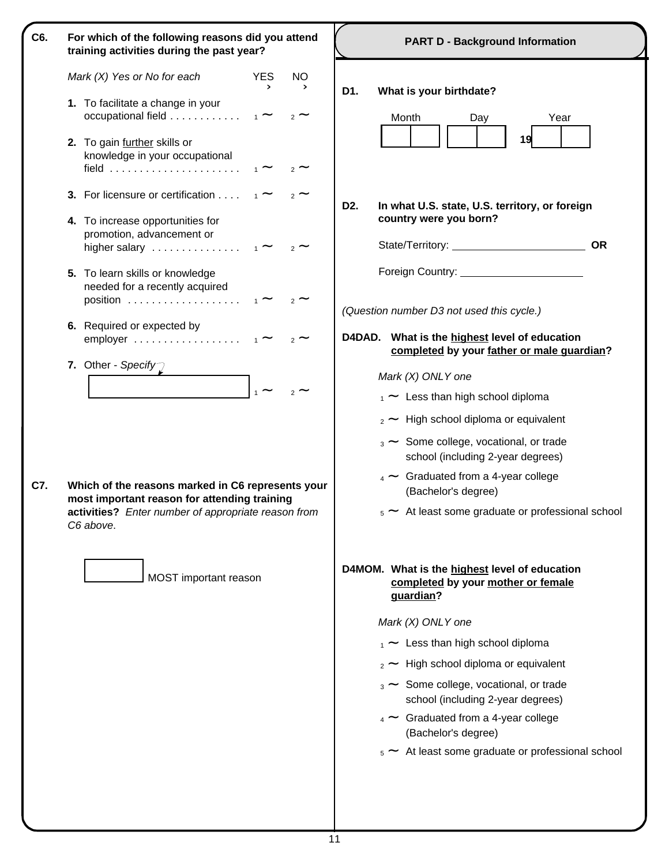| C6. | For which of the following reasons did you attend<br>training activities during the past year?                   | <b>PART D - Background Information</b>                                                           |
|-----|------------------------------------------------------------------------------------------------------------------|--------------------------------------------------------------------------------------------------|
|     | Mark (X) Yes or No for each<br><b>YES</b><br>NO<br>$\mathbf{O}$<br>$\mathbf{O}$                                  | What is your birthdate?<br>D1.                                                                   |
|     | 1. To facilitate a change in your<br>occupational field $\sim$ 1 ~<br>$2^{\sim}$                                 | Month<br>Day<br>Year                                                                             |
|     | 2. To gain further skills or<br>knowledge in your occupational<br>$2^{\sim}$                                     | 19                                                                                               |
|     | 3. For licensure or certification<br>$2^{\sim}$                                                                  | D <sub>2</sub> .<br>In what U.S. state, U.S. territory, or foreign                               |
|     | 4. To increase opportunities for<br>promotion, advancement or                                                    | country were you born?                                                                           |
|     | higher salary $\ldots \ldots \ldots \ldots \ldots$ $\sim$<br>$2^{\sim}$                                          | <b>OR</b>                                                                                        |
|     | 5. To learn skills or knowledge<br>needed for a recently acquired                                                |                                                                                                  |
|     | $2^{\sim}$                                                                                                       | (Question number D3 not used this cycle.)                                                        |
|     | 6. Required or expected by<br>$2^{\sim}$                                                                         | D4DAD. What is the highest level of education<br>completed by your father or male guardian?      |
|     | 7. Other - Specify                                                                                               | Mark (X) ONLY one                                                                                |
|     |                                                                                                                  | $1 -$ Less than high school diploma                                                              |
|     |                                                                                                                  | $_2$ ~ High school diploma or equivalent                                                         |
|     |                                                                                                                  | $_3$ ~ Some college, vocational, or trade<br>school (including 2-year degrees)                   |
| C7. | Which of the reasons marked in C6 represents your                                                                | $_4$ ~ Graduated from a 4-year college<br>(Bachelor's degree)                                    |
|     | most important reason for attending training<br>activities? Enter number of appropriate reason from<br>C6 above. | $_5$ ~ At least some graduate or professional school                                             |
|     | MOST important reason                                                                                            | D4MOM. What is the highest level of education<br>completed by your mother or female<br>quardian? |
|     |                                                                                                                  | Mark (X) ONLY one                                                                                |
|     |                                                                                                                  | $_1$ ~ Less than high school diploma                                                             |
|     |                                                                                                                  | High school diploma or equivalent                                                                |
|     |                                                                                                                  | $_3$ ~ Some college, vocational, or trade<br>school (including 2-year degrees)                   |
|     |                                                                                                                  | $_4$ ~ Graduated from a 4-year college<br>(Bachelor's degree)                                    |
|     |                                                                                                                  | At least some graduate or professional school                                                    |
|     |                                                                                                                  |                                                                                                  |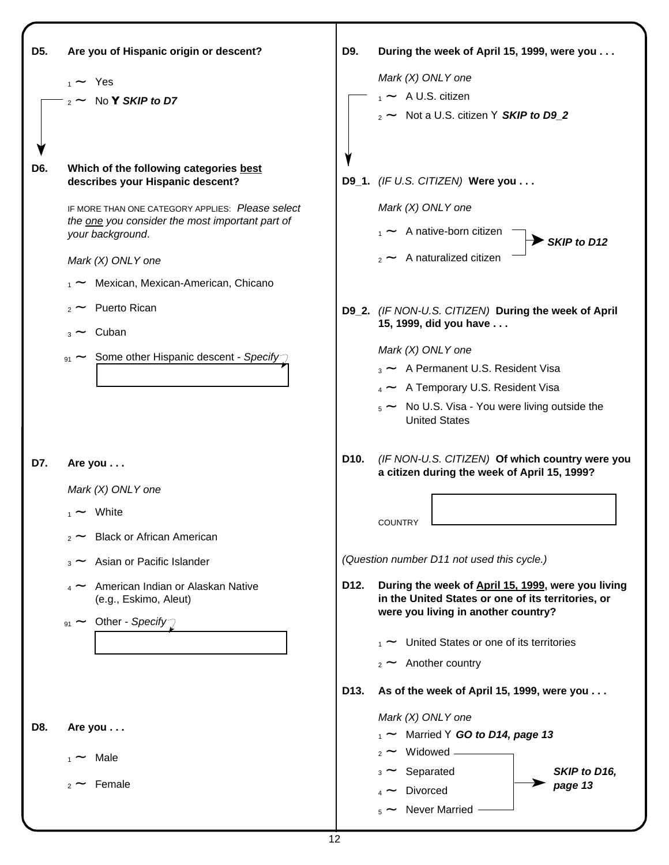| D5. | Are you of Hispanic origin or descent?                                                                                  | D9.               | During the week of April 15, 1999, were you                                                                                                                                                                                                                           |
|-----|-------------------------------------------------------------------------------------------------------------------------|-------------------|-----------------------------------------------------------------------------------------------------------------------------------------------------------------------------------------------------------------------------------------------------------------------|
|     | Yes<br>No Y SKIP to D7                                                                                                  |                   | Mark (X) ONLY one<br>$_1$ ~ A U.S. citizen<br>$_2$ $\sim$ Not a U.S. citizen Y SKIP to D9_2                                                                                                                                                                           |
| D6. | Which of the following categories best<br>describes your Hispanic descent?                                              |                   | D9_1. (IF U.S. CITIZEN) Were you                                                                                                                                                                                                                                      |
|     | IF MORE THAN ONE CATEGORY APPLIES: Please select<br>the one you consider the most important part of<br>your background. |                   | Mark (X) ONLY one<br>A native-born citizen<br>$\blacktriangleright$ SKIP to D12<br>A naturalized citizen                                                                                                                                                              |
|     | Mark (X) ONLY one<br>Mexican, Mexican-American, Chicano                                                                 |                   |                                                                                                                                                                                                                                                                       |
|     | Puerto Rican<br>$2^{\sim}$<br>Cuban<br>$_3$ ~<br>91 ~ Some other Hispanic descent - Specify                             |                   | D9_2. (IF NON-U.S. CITIZEN) During the week of April<br>15, 1999, did you have<br>Mark (X) ONLY one<br>$_3$ ~ A Permanent U.S. Resident Visa<br>$_4$ ~ A Temporary U.S. Resident Visa<br>$_5 \sim$ No U.S. Visa - You were living outside the<br><b>United States</b> |
| D7. | Are you                                                                                                                 | D10.              | (IF NON-U.S. CITIZEN) Of which country were you<br>a citizen during the week of April 15, 1999?                                                                                                                                                                       |
|     | Mark (X) ONLY one                                                                                                       |                   |                                                                                                                                                                                                                                                                       |
|     | $1 -$ White<br><b>Black or African American</b>                                                                         |                   | <b>COUNTRY</b>                                                                                                                                                                                                                                                        |
|     | Asian or Pacific Islander<br>3 <sup>1</sup>                                                                             |                   | (Question number D11 not used this cycle.)                                                                                                                                                                                                                            |
|     | American Indian or Alaskan Native<br>(e.g., Eskimo, Aleut)<br>Other - Specify $\gamma$<br>$_{91}$ ~                     | D12.              | During the week of April 15, 1999, were you living<br>in the United States or one of its territories, or<br>were you living in another country?                                                                                                                       |
|     |                                                                                                                         |                   | United States or one of its territories<br>Another country<br>$2^{\sim}$                                                                                                                                                                                              |
|     |                                                                                                                         | D <sub>13</sub> . | As of the week of April 15, 1999, were you                                                                                                                                                                                                                            |
| D8. | Are you $\dots$<br>Male<br>Female                                                                                       |                   | Mark (X) ONLY one<br>$_1$ ~ Married Y GO to D14, page 13<br>Widowed _<br>$2^{\sim}$<br>Separated<br>SKIP to D16,<br>3<br>page 13<br>Divorced<br><b>Never Married</b><br>$5^{\sim}$                                                                                    |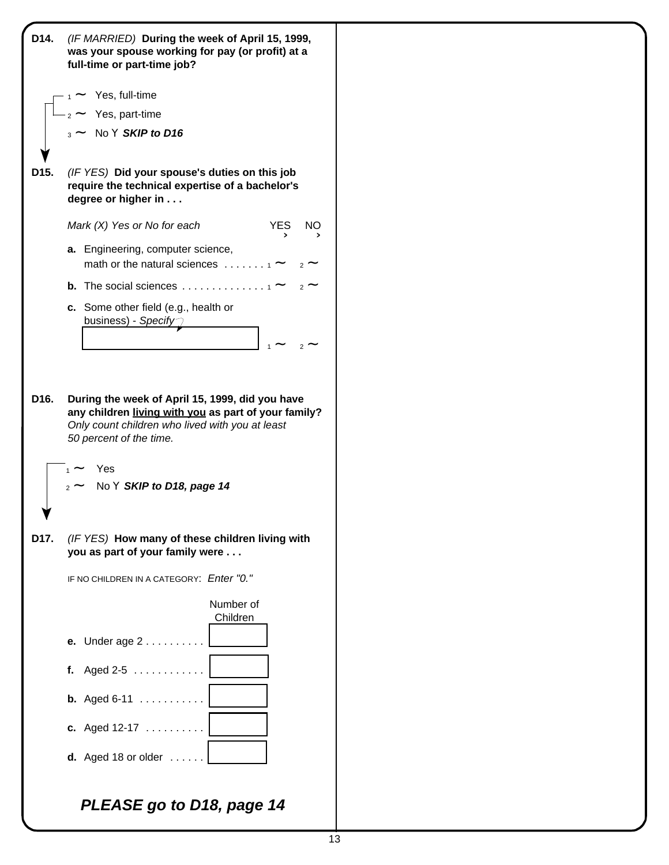| D14.              | (IF MARRIED) During the week of April 15, 1999,<br>was your spouse working for pay (or profit) at a<br>full-time or part-time job?                                     |
|-------------------|------------------------------------------------------------------------------------------------------------------------------------------------------------------------|
|                   | Yes, full-time                                                                                                                                                         |
|                   | Yes, part-time                                                                                                                                                         |
|                   | $_3 \sim$ No Y SKIP to D16                                                                                                                                             |
| D <sub>15</sub> . | (IF YES) Did your spouse's duties on this job<br>require the technical expertise of a bachelor's<br>degree or higher in                                                |
|                   | Mark (X) Yes or No for each<br><b>YES</b><br>NO.<br>$\mathbf{O}$<br>$\mathbf{O}$                                                                                       |
|                   | a. Engineering, computer science,<br>math or the natural sciences $\dots \dots \dots$                                                                                  |
|                   | <b>b.</b> The social sciences $\dots \dots \dots \dots \dots$                                                                                                          |
|                   | c. Some other field (e.g., health or<br>business) - Specify                                                                                                            |
|                   |                                                                                                                                                                        |
| D17.              | any children living with you as part of your family?<br>Only count children who lived with you at least<br>50 percent of the time.<br>Yes<br>No Y SKIP to D18, page 14 |
|                   | (IF YES) How many of these children living with<br>you as part of your family were                                                                                     |
|                   | IF NO CHILDREN IN A CATEGORY: Enter "0."                                                                                                                               |
|                   | Number of<br>Children                                                                                                                                                  |
|                   | e. Under age $2$                                                                                                                                                       |
|                   |                                                                                                                                                                        |
|                   | <b>b.</b> Aged 6-11 $\dots$                                                                                                                                            |
|                   | c. Aged $12-17$                                                                                                                                                        |
|                   | <b>d.</b> Aged 18 or older $\ldots$ .                                                                                                                                  |
|                   | PLEASE go to D18, page 14                                                                                                                                              |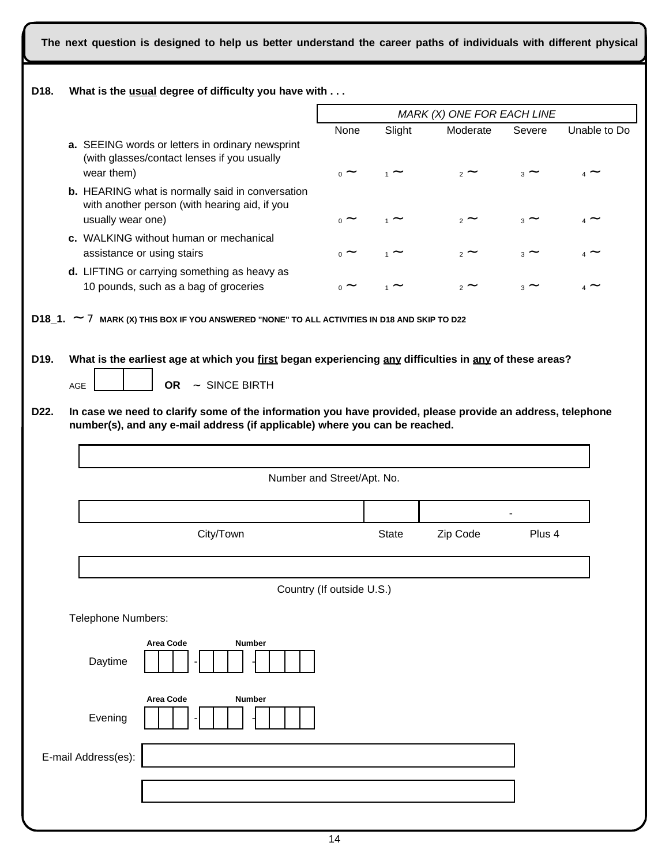|                   |                     | The next question is designed to help us better understand the career paths of individuals with different physical                                                                        |                            |              |                            |             |              |
|-------------------|---------------------|-------------------------------------------------------------------------------------------------------------------------------------------------------------------------------------------|----------------------------|--------------|----------------------------|-------------|--------------|
| D18.              |                     | What is the usual degree of difficulty you have with                                                                                                                                      |                            |              |                            |             |              |
|                   |                     |                                                                                                                                                                                           |                            |              | MARK (X) ONE FOR EACH LINE |             |              |
|                   |                     |                                                                                                                                                                                           | None                       | Slight       | Moderate                   | Severe      | Unable to Do |
|                   | wear them)          | a. SEEING words or letters in ordinary newsprint<br>(with glasses/contact lenses if you usually                                                                                           | $\sim$                     |              | $2^{\sim}$                 | $_3$ $\sim$ |              |
|                   | usually wear one)   | <b>b.</b> HEARING what is normally said in conversation<br>with another person (with hearing aid, if you                                                                                  | $_0$ ~                     |              |                            | $_3$ ~      |              |
|                   |                     | c. WALKING without human or mechanical<br>assistance or using stairs                                                                                                                      | $\sim$                     | $1 -$        | $2^{\sim}$<br>$2^{\sim}$   | $_3$ ~      |              |
|                   |                     | d. LIFTING or carrying something as heavy as<br>10 pounds, such as a bag of groceries                                                                                                     | $\sim$                     |              | $2^{\sim}$                 | $_3$ ~      |              |
|                   |                     | D18_1. $\sim$ 7 MARK (X) THIS BOX IF YOU ANSWERED "NONE" TO ALL ACTIVITIES IN D18 AND SKIP TO D22                                                                                         |                            |              |                            |             |              |
| D <sub>19</sub> . |                     | What is the earliest age at which you first began experiencing any difficulties in any of these areas?                                                                                    |                            |              |                            |             |              |
|                   | AGE                 | <b>OR</b><br>~ SINCE BIRTH                                                                                                                                                                |                            |              |                            |             |              |
| D22.              |                     | In case we need to clarify some of the information you have provided, please provide an address, telephone<br>number(s), and any e-mail address (if applicable) where you can be reached. |                            |              |                            |             |              |
|                   |                     |                                                                                                                                                                                           | Number and Street/Apt. No. |              |                            |             |              |
|                   |                     |                                                                                                                                                                                           |                            |              |                            |             |              |
|                   |                     | City/Town                                                                                                                                                                                 |                            | <b>State</b> | Zip Code                   | Plus 4      |              |
|                   |                     |                                                                                                                                                                                           |                            |              |                            |             |              |
|                   |                     |                                                                                                                                                                                           | Country (If outside U.S.)  |              |                            |             |              |
|                   | Telephone Numbers:  |                                                                                                                                                                                           |                            |              |                            |             |              |
|                   | Daytime             | <b>Area Code</b><br>Number                                                                                                                                                                |                            |              |                            |             |              |
|                   | Evening             | Area Code<br>Number                                                                                                                                                                       |                            |              |                            |             |              |
|                   | E-mail Address(es): |                                                                                                                                                                                           |                            |              |                            |             |              |
|                   |                     |                                                                                                                                                                                           |                            |              |                            |             |              |
|                   |                     |                                                                                                                                                                                           |                            |              |                            |             |              |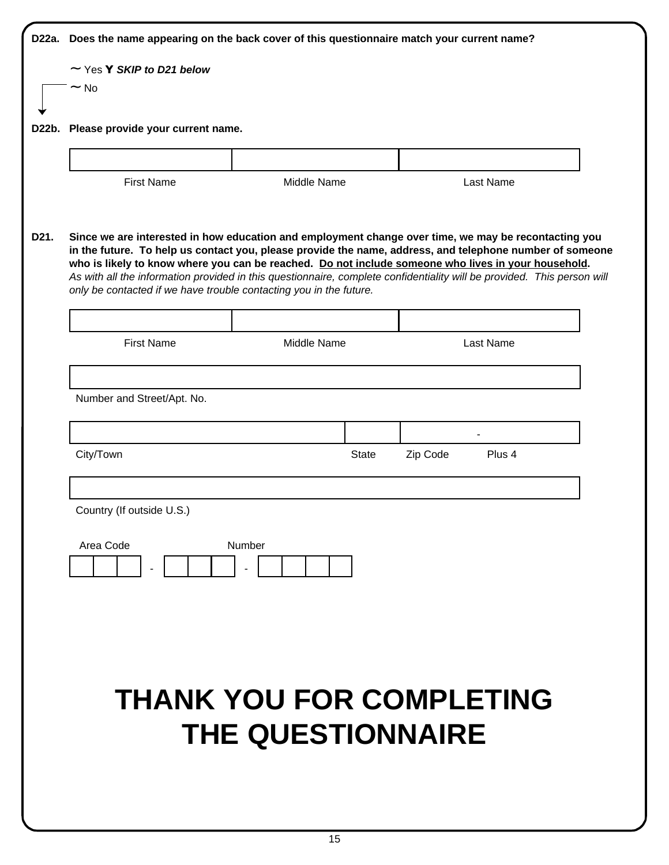|                                                                    | D22a. Does the name appearing on the back cover of this questionnaire match your current name? |                                                                                                                                                                                                                                                                                                                                                                                                                                                    |  |  |  |  |
|--------------------------------------------------------------------|------------------------------------------------------------------------------------------------|----------------------------------------------------------------------------------------------------------------------------------------------------------------------------------------------------------------------------------------------------------------------------------------------------------------------------------------------------------------------------------------------------------------------------------------------------|--|--|--|--|
| $\sim$ Yes Y SKIP to D21 below                                     |                                                                                                |                                                                                                                                                                                                                                                                                                                                                                                                                                                    |  |  |  |  |
| $\sim$ No                                                          |                                                                                                |                                                                                                                                                                                                                                                                                                                                                                                                                                                    |  |  |  |  |
| Please provide your current name.                                  |                                                                                                |                                                                                                                                                                                                                                                                                                                                                                                                                                                    |  |  |  |  |
|                                                                    |                                                                                                |                                                                                                                                                                                                                                                                                                                                                                                                                                                    |  |  |  |  |
| <b>First Name</b>                                                  | Middle Name                                                                                    | Last Name                                                                                                                                                                                                                                                                                                                                                                                                                                          |  |  |  |  |
| only be contacted if we have trouble contacting you in the future. |                                                                                                | Since we are interested in how education and employment change over time, we may be recontacting you<br>in the future. To help us contact you, please provide the name, address, and telephone number of someone<br>who is likely to know where you can be reached. Do not include someone who lives in your household.<br>As with all the information provided in this questionnaire, complete confidentiality will be provided. This person will |  |  |  |  |
| <b>First Name</b>                                                  | Middle Name                                                                                    |                                                                                                                                                                                                                                                                                                                                                                                                                                                    |  |  |  |  |
| Number and Street/Apt. No.                                         |                                                                                                |                                                                                                                                                                                                                                                                                                                                                                                                                                                    |  |  |  |  |
| City/Town                                                          | <b>State</b>                                                                                   | Zip Code<br>Plus 4                                                                                                                                                                                                                                                                                                                                                                                                                                 |  |  |  |  |
| Country (If outside U.S.)<br>Area Code<br>Number                   |                                                                                                |                                                                                                                                                                                                                                                                                                                                                                                                                                                    |  |  |  |  |
| <b>THANK YOU FOR COMPLETING</b><br><b>THE QUESTIONNAIRE</b>        |                                                                                                |                                                                                                                                                                                                                                                                                                                                                                                                                                                    |  |  |  |  |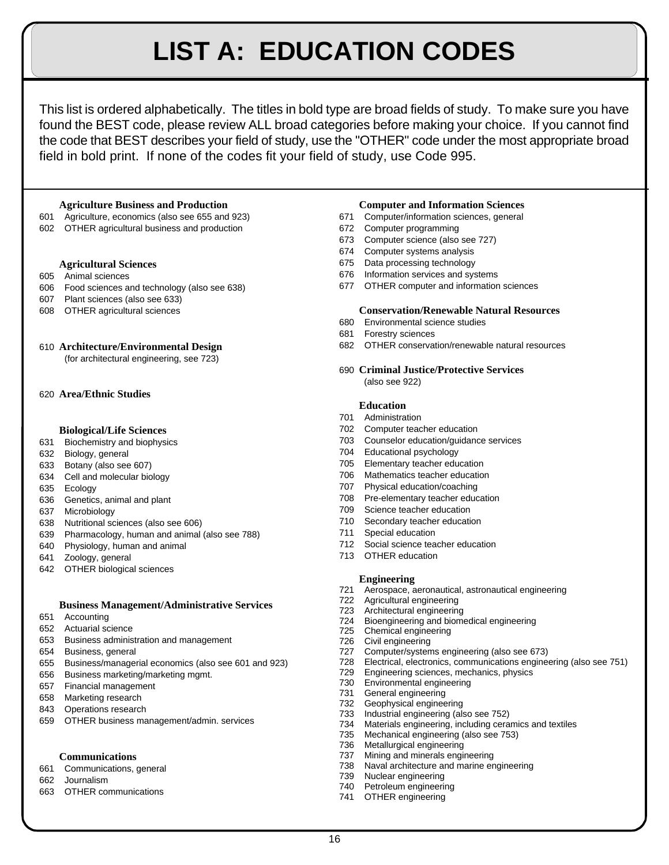## **LIST A: EDUCATION CODES**

This list is ordered alphabetically. The titles in bold type are broad fields of study. To make sure you have found the BEST code, please review ALL broad categories before making your choice. If you cannot find the code that BEST describes your field of study, use the "OTHER" code under the most appropriate broad field in bold print. If none of the codes fit your field of study, use Code 995.

### **Agriculture Business and Production Computer and Information Sciences**

- Agriculture, economics (also see 655 and 923) 671 Computer/information sciences, general
- OTHER agricultural business and production 672 Computer programming

### **Agricultural Sciences**

- Animal sciences
- Food sciences and technology (also see 638)
- Plant sciences (also see 633)
- 

### **Architecture/Environmental Design**

(for architectural engineering, see 723)

### **Area/Ethnic Studies**

### **Biological/Life Sciences**

- Biochemistry and biophysics
- Biology, general
- Botany (also see 607)
- Cell and molecular biology
- Ecology
- Genetics, animal and plant
- Microbiology
- Nutritional sciences (also see 606)
- Pharmacology, human and animal (also see 788)
- Physiology, human and animal
- Zoology, general
- OTHER biological sciences

### **Business Management/Administrative Services**

- Accounting
- Actuarial science
- Business administration and management
- Business, general
- Business/managerial economics (also see 601 and 923)
- Business marketing/marketing mgmt.
- Financial management
- Marketing research
- Operations research
- OTHER business management/admin. services

### **Communications**

- Communications, general
- Journalism
- OTHER communications

- 
- 
- Computer science (also see 727)
- Computer systems analysis
- Data processing technology
- Information services and systems
- OTHER computer and information sciences

### OTHER agricultural sciences **Conservation/Renewable Natural Resources**

- Environmental science studies
- Forestry sciences
- OTHER conservation/renewable natural resources
- **Criminal Justice/Protective Services** (also see 922)

### **Education**

- Administration
- Computer teacher education
- Counselor education/guidance services
- Educational psychology
- Elementary teacher education
- Mathematics teacher education
- Physical education/coaching
- Pre-elementary teacher education
- Science teacher education
- Secondary teacher education
- Special education
- Social science teacher education
- OTHER education

- **Engineering**<br>721 Aerospace, a Aerospace, aeronautical, astronautical engineering
- Agricultural engineering
- Architectural engineering
- Bioengineering and biomedical engineering
- Chemical engineering
- Civil engineering
- Computer/systems engineering (also see 673)
- Electrical, electronics, communications engineering (also see 751)
- Engineering sciences, mechanics, physics
- Environmental engineering
- General engineering Geophysical engineering
- 
- Industrial engineering (also see 752)
- Materials engineering, including ceramics and textiles Mechanical engineering (also see 753)
- Metallurgical engineering
- 
- 737 Mining and minerals engineering<br>738 Naval architecture and marine er Naval architecture and marine engineering
- Nuclear engineering
- Petroleum engineering
- OTHER engineering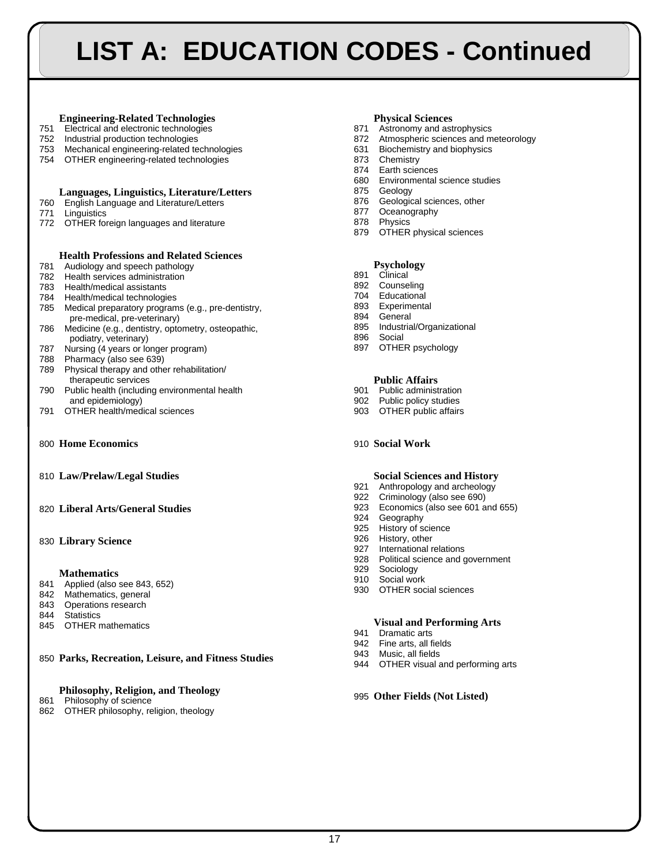## **LIST A: EDUCATION CODES - Continued**

## **Engineering-Related Technologies**<br>
Electrical and electronic technologies<br> **Example 1987** 271 Astronomy and astrophysics

- 751 Electrical and electronic technologies<br>752 Industrial production technologies
- 
- Mechanical engineering-related technologies 631 Biochemistry and biophysics
- OTHER engineering-related technologies 873 Chemistry

### **Languages, Linguistics, Literature/Letters**

- English Language and Literature/Letters
- Linguistics
- OTHER foreign languages and literature

### **Health Professions and Related Sciences**

- Audiology and speech pathology
- Health services administration
- Health/medical assistants
- Health/medical technologies
- Medical preparatory programs (e.g., pre-dentistry, pre-medical, pre-veterinary)
- Medicine (e.g., dentistry, optometry, osteopathic, podiatry, veterinary)
- Nursing (4 years or longer program)
- Pharmacy (also see 639)
- Physical therapy and other rehabilitation/
- therapeutic services Public health (including environmental health 901 Public administration
- OTHER health/medical sciences 903 OTHER public affairs
- **Home Economics** 910 **Social Work**
- **Law/Prelaw/Legal Studies Social Sciences and History**
- **Liberal Arts/General Studies**

### **Library Science**

### **Mathematics**

- 841 Applied (also see 843, 652)<br>842 Mathematics, general
- Mathematics, general
- Operations research
- Statistics
- OTHER mathematics

### **Parks, Recreation, Leisure, and Fitness Studies**

### **Philosophy, Religion, and Theology**

### Philosophy of science

OTHER philosophy, religion, theology

- 
- Industrial production technologies 872 Atmospheric sciences and meteorology
	-
	-
	- Earth sciences
	- 680 Environmental science studies<br>875 Geology Geology
	-
	- Geological sciences, other Oceanography
	- Physics
	- OTHER physical sciences

### **Psychology**

- Clinical
- Counseling
- Educational
- Experimental
- General
- Industrial/Organizational
- Social OTHER psychology
	-

### **Public Affairs**

- 
- and epidemiology) **Example 202** Public policy studies
	-

- Anthropology and archeology
- Criminology (also see 690)
- Economics (also see 601 and 655)
- Geography
- History of science
- History, other
- International relations
- Political science and government
- Sociology
- Social work
- OTHER social sciences

### **Visual and Performing Arts**

- Dramatic arts
- Fine arts, all fields
- Music, all fields
- OTHER visual and performing arts

### **Other Fields (Not Listed)**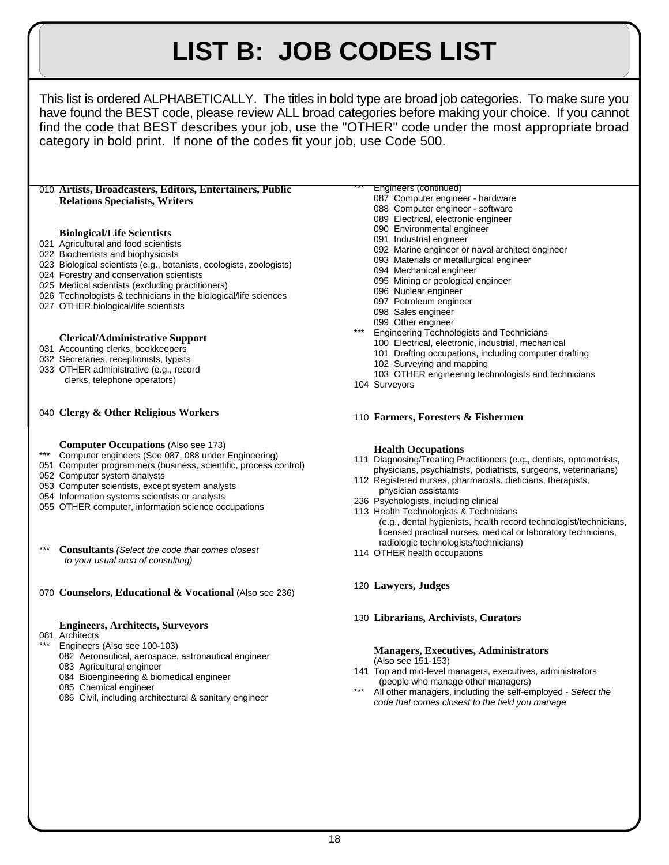## **LIST B: JOB CODES LIST**

This list is ordered ALPHABETICALLY. The titles in bold type are broad job categories. To make sure you have found the BEST code, please review ALL broad categories before making your choice. If you cannot find the code that BEST describes your job, use the "OTHER" code under the most appropriate broad category in bold print. If none of the codes fit your job, use Code 500.

### **Artists, Broadcasters, Editors, Entertainers, Public Relations Specialists, Writers**

### **Biological/Life Scientists**

- Agricultural and food scientists
- Biochemists and biophysicists
- Biological scientists (e.g., botanists, ecologists, zoologists)
- Forestry and conservation scientists
- Medical scientists (excluding practitioners)
- Technologists & technicians in the biological/life sciences
- OTHER biological/life scientists

### **Clerical/Administrative Support**

- Accounting clerks, bookkeepers
- Secretaries, receptionists, typists
- OTHER administrative (e.g., record clerks, telephone operators)
- **Clergy & Other Religious Workers**

### **Computer Occupations** (Also see 173)

- \*\*\* Computer engineers (See 087, 088 under Engineering)
- Computer programmers (business, scientific, process control)
- Computer system analysts
- Computer scientists, except system analysts
- Information systems scientists or analysts
- OTHER computer, information science occupations
- \*\*\* **Consultants** *(Select the code that comes closest to your usual area of consulting)*
- **Counselors, Educational & Vocational** (Also see 236)

### **Engineers, Architects, Surveyors**

- Architects
	- Engineers (Also see 100-103)
		- Aeronautical, aerospace, astronautical engineer
		- Agricultural engineer
		- Bioengineering & biomedical engineer
		- Chemical engineer
		- Civil, including architectural & sanitary engineer
- Engineers (continued)
- Computer engineer hardware Computer engineer - software
- Electrical, electronic engineer
- Environmental engineer
- Industrial engineer
- Marine engineer or naval architect engineer
- Materials or metallurgical engineer
- Mechanical engineer
- Mining or geological engineer
- Nuclear engineer
- Petroleum engineer
- Sales engineer
- Other engineer
- **Engineering Technologists and Technicians**
- Electrical, electronic, industrial, mechanical
- Drafting occupations, including computer drafting
- Surveying and mapping
- OTHER engineering technologists and technicians
- Surveyors

### **Farmers, Foresters & Fishermen**

### **Health Occupations**

- Diagnosing/Treating Practitioners (e.g., dentists, optometrists, physicians, psychiatrists, podiatrists, surgeons, veterinarians)
- Registered nurses, pharmacists, dieticians, therapists, physician assistants
- Psychologists, including clinical
- Health Technologists & Technicians (e.g., dental hygienists, health record technologist/technicians, licensed practical nurses, medical or laboratory technicians, radiologic technologists/technicians)
- OTHER health occupations
- **Lawyers, Judges**
- **Librarians, Archivists, Curators**

### **Managers, Executives, Administrators** (Also see 151-153)

- Top and mid-level managers, executives, administrators (people who manage other managers)
- All other managers, including the self-employed Select the *code that comes closest to the field you manage*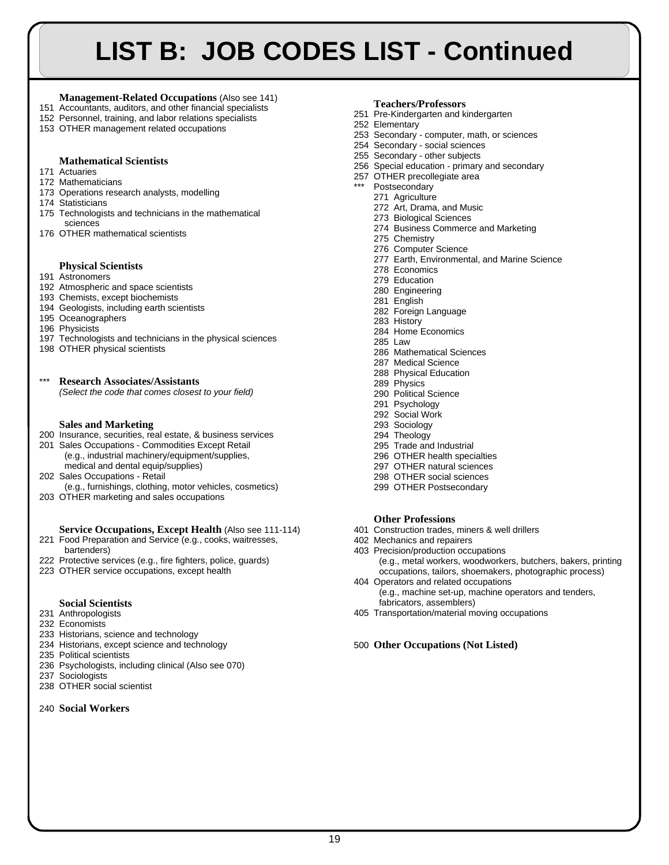## **LIST B: JOB CODES LIST - Continued**

### **Management-Related Occupations** (Also see 141)

- 151 Accountants, auditors, and other financial specialists
- 152 Personnel, training, and labor relations specialists
- 153 OTHER management related occupations

### **Mathematical Scientists**

- 171 Actuaries
- 172 Mathematicians
- 173 Operations research analysts, modelling
- 174 Statisticians
- 175 Technologists and technicians in the mathematical
- sciences 176 OTHER mathematical scientists

### **Physical Scientists**

- 191 Astronomers
- 192 Atmospheric and space scientists
- 193 Chemists, except biochemists
- 194 Geologists, including earth scientists
- 195 Oceanographers
- 196 Physicists
- 197 Technologists and technicians in the physical sciences
- 198 OTHER physical scientists

### **Research Associates/Assistants** *(Select the code that comes closest to your field)*

### **Sales and Marketing**

- 200 Insurance, securities, real estate, & business services
- 201 Sales Occupations Commodities Except Retail (e.g., industrial machinery/equipment/supplies,
- medical and dental equip/supplies) 202 Sales Occupations - Retail
- (e.g., furnishings, clothing, motor vehicles, cosmetics)
- 203 OTHER marketing and sales occupations

### **Service Occupations, Except Health** (Also see 111-114)

- 221 Food Preparation and Service (e.g., cooks, waitresses, bartenders)
- 222 Protective services (e.g., fire fighters, police, guards)
- 223 OTHER service occupations, except health

### **Social Scientists**

- 231 Anthropologists
- 232 Economists
- 233 Historians, science and technology
- 234 Historians, except science and technology
- 235 Political scientists
- 236 Psychologists, including clinical (Also see 070)
- 237 Sociologists
- 238 OTHER social scientist

### 240 **Social Workers**

### **Teachers/Professors**

- 251 Pre-Kindergarten and kindergarten
- 252 Elementary
- 253 Secondary computer, math, or sciences
- 254 Secondary social sciences
- 255 Secondary other subjects
- 256 Special education primary and secondary
- 257 OTHER precollegiate area
- \*\*\* Postsecondary
	- 271 Agriculture
		- 272 Art, Drama, and Music
		- 273 Biological Sciences
		- 274 Business Commerce and Marketing
		- 275 Chemistry
	- 276 Computer Science
	- 277 Earth, Environmental, and Marine Science
	- 278 Economics
	- 279 Education
	- 280 Engineering
	- 281 English
	- 282 Foreign Language
	- 283 History
	- 284 Home Economics
	- 285 Law
	- 286 Mathematical Sciences
	- 287 Medical Science
	- 288 Physical Education
	- 289 Physics
	- 290 Political Science
	- 291 Psychology
	- 292 Social Work 293 Sociology
	- 294 Theology
	-
	- 295 Trade and Industrial 296 OTHER health specialties
	- 297 OTHER natural sciences
	- 298 OTHER social sciences
	- 299 OTHER Postsecondary

### **Other Professions**

- 401 Construction trades, miners & well drillers
- 402 Mechanics and repairers
- 403 Precision/production occupations (e.g., metal workers, woodworkers, butchers, bakers, printing occupations, tailors, shoemakers, photographic process)
- 404 Operators and related occupations (e.g., machine set-up, machine operators and tenders, fabricators, assemblers)
- 405 Transportation/material moving occupations

### 500 **Other Occupations (Not Listed)**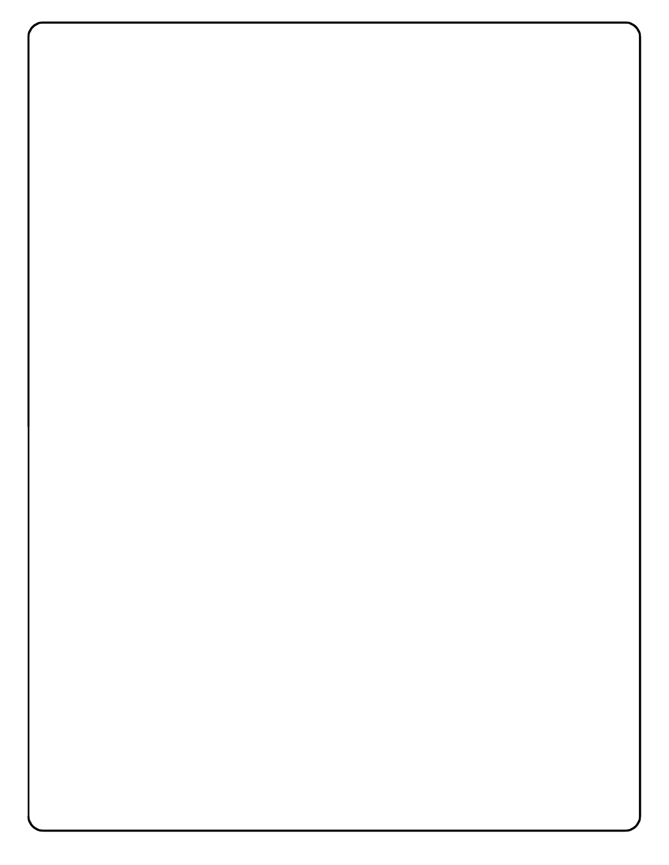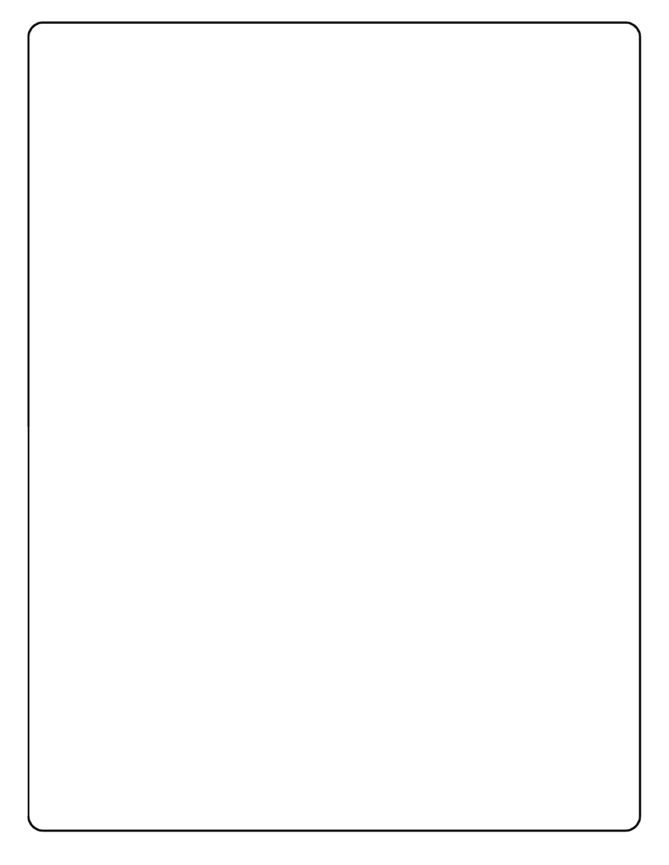